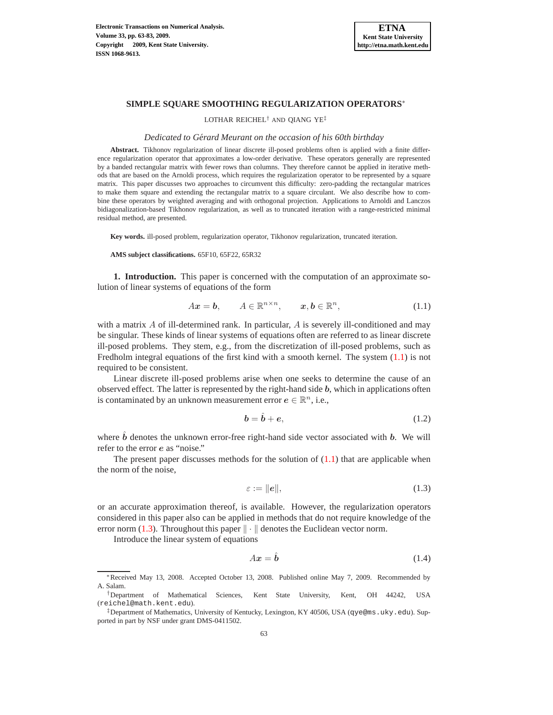

## **SIMPLE SQUARE SMOOTHING REGULARIZATION OPERATORS**<sup>∗</sup>

LOTHAR REICHEL† AND QIANG YE‡

### *Dedicated to Gerard Meurant on the occasion of his 60th birthday ´*

**Abstract.** Tikhonov regularization of linear discrete ill-posed problems often is applied with a finite difference regularization operator that approximates a low-order derivative. These operators generally are represented by a banded rectangular matrix with fewer rows than columns. They therefore cannot be applied in iterative methods that are based on the Arnoldi process, which requires the regularization operator to be represented by a square matrix. This paper discusses two approaches to circumvent this difficulty: zero-padding the rectangular matrices to make them square and extending the rectangular matrix to a square circulant. We also describe how to combine these operators by weighted averaging and with orthogonal projection. Applications to Arnoldi and Lanczos bidiagonalization-based Tikhonov regularization, as well as to truncated iteration with a range-restricted minimal residual method, are presented.

**Key words.** ill-posed problem, regularization operator, Tikhonov regularization, truncated iteration.

**AMS subject classifications.** 65F10, 65F22, 65R32

**1. Introduction.** This paper is concerned with the computation of an approximate solution of linear systems of equations of the form

<span id="page-0-0"></span>
$$
Ax = b, \qquad A \in \mathbb{R}^{n \times n}, \qquad x, b \in \mathbb{R}^n, \tag{1.1}
$$

with a matrix  $A$  of ill-determined rank. In particular,  $A$  is severely ill-conditioned and may be singular. These kinds of linear systems of equations often are referred to as linear discrete ill-posed problems. They stem, e.g., from the discretization of ill-posed problems, such as Fredholm integral equations of the first kind with a smooth kernel. The system [\(1.1\)](#page-0-0) is not required to be consistent.

Linear discrete ill-posed problems arise when one seeks to determine the cause of an observed effect. The latter is represented by the right-hand side  $b$ , which in applications often is contaminated by an unknown measurement error  $e \in \mathbb{R}^n$ , i.e.,

<span id="page-0-3"></span>
$$
\mathbf{b} = \hat{\mathbf{b}} + \mathbf{e},\tag{1.2}
$$

where  $\hat{b}$  denotes the unknown error-free right-hand side vector associated with b. We will refer to the error e as "noise."

The present paper discusses methods for the solution of  $(1.1)$  that are applicable when the norm of the noise,

<span id="page-0-1"></span>
$$
\varepsilon := ||e||,\tag{1.3}
$$

or an accurate approximation thereof, is available. However, the regularization operators considered in this paper also can be applied in methods that do not require knowledge of the error norm [\(1.3\)](#page-0-1). Throughout this paper  $\|\cdot\|$  denotes the Euclidean vector norm.

Introduce the linear system of equations

<span id="page-0-2"></span>
$$
Ax = \hat{b} \tag{1.4}
$$

<sup>∗</sup>Received May 13, 2008. Accepted October 13, 2008. Published online May 7, 2009. Recommended by A. Salam.

<sup>†</sup>Department of Mathematical Sciences, Kent State University, Kent, OH 44242, USA (reichel@math.kent.edu).

<sup>‡</sup>Department of Mathematics, University of Kentucky, Lexington, KY 40506, USA (qye@ms.uky.edu). Supported in part by NSF under grant DMS-0411502.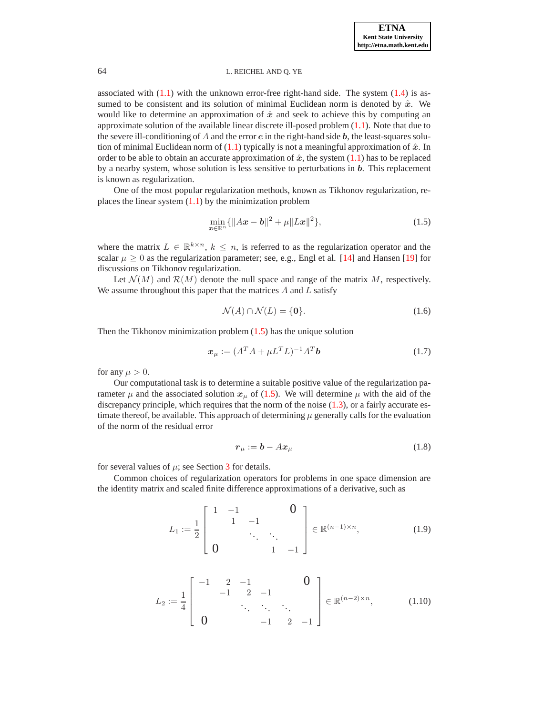associated with  $(1.1)$  with the unknown error-free right-hand side. The system  $(1.4)$  is assumed to be consistent and its solution of minimal Euclidean norm is denoted by  $\hat{x}$ . We would like to determine an approximation of  $\hat{x}$  and seek to achieve this by computing an approximate solution of the available linear discrete ill-posed problem  $(1.1)$ . Note that due to the severe ill-conditioning of A and the error  $e$  in the right-hand side  $b$ , the least-squares solution of minimal Euclidean norm of  $(1.1)$  typically is not a meaningful approximation of  $\hat{x}$ . In order to be able to obtain an accurate approximation of  $\hat{x}$ , the system [\(1.1\)](#page-0-0) has to be replaced by a nearby system, whose solution is less sensitive to perturbations in b. This replacement is known as regularization.

One of the most popular regularization methods, known as Tikhonov regularization, replaces the linear system  $(1.1)$  by the minimization problem

<span id="page-1-0"></span>
$$
\min_{\boldsymbol{x}\in\mathbb{R}^n} \{ \|A\boldsymbol{x} - \boldsymbol{b}\|^2 + \mu \|L\boldsymbol{x}\|^2 \},\tag{1.5}
$$

where the matrix  $L \in \mathbb{R}^{k \times n}$ ,  $k \leq n$ , is referred to as the regularization operator and the scalar  $\mu \geq 0$  as the regularization parameter; see, e.g., Engl et al. [\[14\]](#page-20-0) and Hansen [\[19\]](#page-20-1) for discussions on Tikhonov regularization.

Let  $\mathcal{N}(M)$  and  $\mathcal{R}(M)$  denote the null space and range of the matrix M, respectively. We assume throughout this paper that the matrices  $A$  and  $L$  satisfy

<span id="page-1-4"></span>
$$
\mathcal{N}(A) \cap \mathcal{N}(L) = \{0\}.\tag{1.6}
$$

Then the Tikhonov minimization problem  $(1.5)$  has the unique solution

<span id="page-1-2"></span>
$$
\boldsymbol{x}_{\mu} := (A^T A + \mu L^T L)^{-1} A^T \boldsymbol{b} \tag{1.7}
$$

for any  $\mu > 0$ .

Our computational task is to determine a suitable positive value of the regularization parameter  $\mu$  and the associated solution  $x_{\mu}$  of [\(1.5\)](#page-1-0). We will determine  $\mu$  with the aid of the discrepancy principle, which requires that the norm of the noise  $(1.3)$ , or a fairly accurate estimate thereof, be available. This approach of determining  $\mu$  generally calls for the evaluation of the norm of the residual error

<span id="page-1-1"></span>
$$
\boldsymbol{r}_{\mu} := \boldsymbol{b} - A \boldsymbol{x}_{\mu} \tag{1.8}
$$

for several values of  $\mu$ ; see Section [3](#page-12-0) for details.

Common choices of regularization operators for problems in one space dimension are the identity matrix and scaled finite difference approximations of a derivative, such as

<span id="page-1-3"></span>
$$
L_1 := \frac{1}{2} \begin{bmatrix} 1 & -1 & & 0 \\ & 1 & -1 & & \\ & & \ddots & \ddots & \\ 0 & & & 1 & -1 \end{bmatrix} \in \mathbb{R}^{(n-1)\times n}, \quad (1.9)
$$

<span id="page-1-5"></span>
$$
L_2 := \frac{1}{4} \begin{bmatrix} -1 & 2 & -1 & & 0 \\ & -1 & 2 & -1 & & \\ & & \ddots & \ddots & \ddots & \\ 0 & & & -1 & 2 & -1 \end{bmatrix} \in \mathbb{R}^{(n-2)\times n},
$$
 (1.10)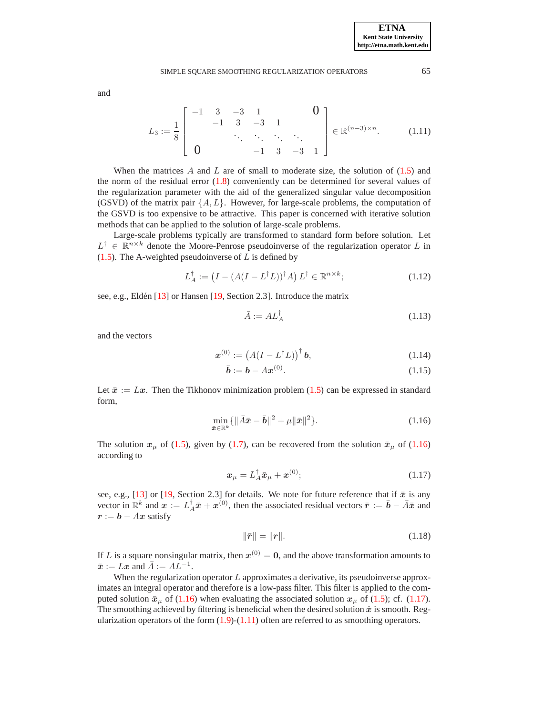## SIMPLE SOUARE SMOOTHING REGULARIZATION OPERATORS 65

<span id="page-2-2"></span>
$$
L_3 := \frac{1}{8} \begin{bmatrix} -1 & 3 & -3 & 1 & & & 0 \\ & -1 & 3 & -3 & 1 & & \\ & & \ddots & \ddots & \ddots & \ddots \\ & & & & -1 & 3 & -3 & 1 \end{bmatrix} \in \mathbb{R}^{(n-3)\times n}.
$$
 (1.11)

When the matrices A and L are of small to moderate size, the solution of  $(1.5)$  and the norm of the residual error  $(1.8)$  conveniently can be determined for several values of the regularization parameter with the aid of the generalized singular value decomposition (GSVD) of the matrix pair  $\{A, L\}$ . However, for large-scale problems, the computation of the GSVD is too expensive to be attractive. This paper is concerned with iterative solution methods that can be applied to the solution of large-scale problems.

Large-scale problems typically are transformed to standard form before solution. Let  $L^{\dagger} \in \mathbb{R}^{n \times k}$  denote the Moore-Penrose pseudoinverse of the regularization operator L in  $(1.5)$ . The A-weighted pseudoinverse of L is defined by

<span id="page-2-3"></span>
$$
L_A^{\dagger} := \left(I - \left(A(I - L^{\dagger}L)\right)^{\dagger} A\right) L^{\dagger} \in \mathbb{R}^{n \times k};\tag{1.12}
$$

see, e.g., Eldén [\[13\]](#page-20-2) or Hansen [\[19,](#page-20-1) Section 2.3]. Introduce the matrix

<span id="page-2-4"></span>
$$
\bar{A} := AL_A^{\dagger} \tag{1.13}
$$

and the vectors

and

<span id="page-2-5"></span>
$$
\boldsymbol{x}^{(0)} := \left(A(I - L^{\dagger}L)\right)^{\dagger} \boldsymbol{b},\tag{1.14}
$$

$$
\bar{b} := b - Ax^{(0)}.
$$
 (1.15)

Let  $\bar{x} := Lx$ . Then the Tikhonov minimization problem [\(1.5\)](#page-1-0) can be expressed in standard form,

<span id="page-2-0"></span>
$$
\min_{\bar{\bm{x}} \in \mathbb{R}^k} \{ \|\bar{A}\bar{\bm{x}} - \bar{\bm{b}}\|^2 + \mu \|\bar{\bm{x}}\|^2 \}.
$$
\n(1.16)

The solution  $x_{\mu}$  of [\(1.5\)](#page-1-0), given by [\(1.7\)](#page-1-2), can be recovered from the solution  $\bar{x}_{\mu}$  of [\(1.16\)](#page-2-0) according to

<span id="page-2-1"></span>
$$
\boldsymbol{x}_{\mu} = L_A^{\dagger} \bar{\boldsymbol{x}}_{\mu} + \boldsymbol{x}^{(0)}; \tag{1.17}
$$

see, e.g., [\[13\]](#page-20-2) or [\[19,](#page-20-1) Section 2.3] for details. We note for future reference that if  $\bar{x}$  is any vector in  $\mathbb{R}^k$  and  $x := L_A^{\dagger} \bar{x} + x^{(0)}$ , then the associated residual vectors  $\bar{r} := \bar{b} - \bar{A}\bar{x}$  and  $r := b - Ax$  satisfy

<span id="page-2-6"></span>
$$
\|\bar{r}\| = \|r\|.\tag{1.18}
$$

If L is a square nonsingular matrix, then  $x^{(0)} = 0$ , and the above transformation amounts to  $\bar{x} := Lx$  and  $\bar{A} := AL^{-1}$ .

When the regularization operator  $L$  approximates a derivative, its pseudoinverse approximates an integral operator and therefore is a low-pass filter. This filter is applied to the computed solution  $\bar{x}_{\mu}$  of [\(1.16\)](#page-2-0) when evaluating the associated solution  $x_{\mu}$  of [\(1.5\)](#page-1-0); cf. [\(1.17\)](#page-2-1). The smoothing achieved by filtering is beneficial when the desired solution  $\hat{x}$  is smooth. Regularization operators of the form  $(1.9)-(1.11)$  $(1.9)-(1.11)$  often are referred to as smoothing operators.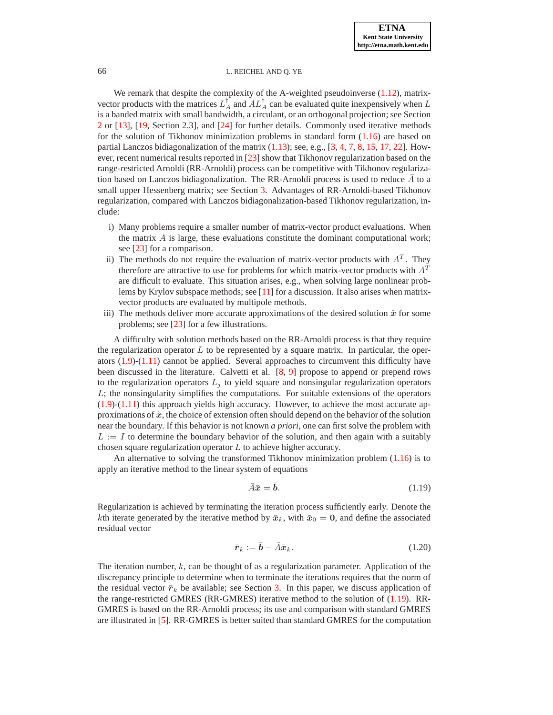We remark that despite the complexity of the A-weighted pseudoinverse [\(1.12\)](#page-2-3), matrixvector products with the matrices  $L_A^{\dagger}$  and  $AL_A^{\dagger}$  can be evaluated quite inexpensively when L is a banded matrix with small bandwidth, a circulant, or an orthogonal projection; see Section [2](#page-4-0) or [\[13\]](#page-20-2), [\[19,](#page-20-1) Section 2.3], and [\[24\]](#page-20-3) for further details. Commonly used iterative methods for the solution of Tikhonov minimization problems in standard form  $(1.16)$  are based on partial Lanczos bidiagonalization of the matrix [\(1.13\)](#page-2-4); see, e.g., [\[3,](#page-19-0) [4,](#page-19-1) [7,](#page-19-2) [8,](#page-19-3) [15,](#page-20-4) [17,](#page-20-5) [22\]](#page-20-6). However, recent numerical results reported in [\[23\]](#page-20-7) show that Tikhonov regularization based on the range-restricted Arnoldi (RR-Arnoldi) process can be competitive with Tikhonov regularization based on Lanczos bidiagonalization. The RR-Arnoldi process is used to reduce  $\overline{A}$  to a small upper Hessenberg matrix; see Section [3.](#page-12-0) Advantages of RR-Arnoldi-based Tikhonov regularization, compared with Lanczos bidiagonalization-based Tikhonov regularization, include:

- i) Many problems require a smaller number of matrix-vector product evaluations. When the matrix  $A$  is large, these evaluations constitute the dominant computational work; see [\[23\]](#page-20-7) for a comparison.
- ii) The methods do not require the evaluation of matrix-vector products with  $A<sup>T</sup>$ . They therefore are attractive to use for problems for which matrix-vector products with  $A<sup>T</sup>$ are difficult to evaluate. This situation arises, e.g., when solving large nonlinear problems by Krylov subspace methods; see [\[11\]](#page-20-8) for a discussion. It also arises when matrixvector products are evaluated by multipole methods.
- iii) The methods deliver more accurate approximations of the desired solution  $\hat{x}$  for some problems; see [\[23\]](#page-20-7) for a few illustrations.

A difficulty with solution methods based on the RR-Arnoldi process is that they require the regularization operator  $L$  to be represented by a square matrix. In particular, the operators [\(1.9\)](#page-1-3)-[\(1.11\)](#page-2-2) cannot be applied. Several approaches to circumvent this difficulty have been discussed in the literature. Calvetti et al. [\[8,](#page-19-3) [9\]](#page-19-4) propose to append or prepend rows to the regularization operators  $L_i$  to yield square and nonsingular regularization operators  $L$ ; the nonsingularity simplifies the computations. For suitable extensions of the operators  $(1.9)-(1.11)$  $(1.9)-(1.11)$  $(1.9)-(1.11)$  this approach yields high accuracy. However, to achieve the most accurate approximations of  $\hat{x}$ , the choice of extension often should depend on the behavior of the solution near the boundary. If this behavior is not known *a priori*, one can first solve the problem with  $L := I$  to determine the boundary behavior of the solution, and then again with a suitably chosen square regularization operator L to achieve higher accuracy.

An alternative to solving the transformed Tikhonov minimization problem [\(1.16\)](#page-2-0) is to apply an iterative method to the linear system of equations

<span id="page-3-0"></span>
$$
\bar{A}\bar{\mathbf{x}} = \bar{\mathbf{b}}.\tag{1.19}
$$

Regularization is achieved by terminating the iteration process sufficiently early. Denote the kth iterate generated by the iterative method by  $\bar{x}_k$ , with  $\bar{x}_0 = 0$ , and define the associated residual vector

<span id="page-3-1"></span>
$$
\bar{\boldsymbol{r}}_k := \bar{\boldsymbol{b}} - \bar{A}\bar{\boldsymbol{x}}_k. \tag{1.20}
$$

The iteration number,  $k$ , can be thought of as a regularization parameter. Application of the discrepancy principle to determine when to terminate the iterations requires that the norm of the residual vector  $\bar{r}_k$  be available; see Section [3.](#page-12-0) In this paper, we discuss application of the range-restricted GMRES (RR-GMRES) iterative method to the solution of [\(1.19\)](#page-3-0). RR-GMRES is based on the RR-Arnoldi process; its use and comparison with standard GMRES are illustrated in [\[5\]](#page-19-5). RR-GMRES is better suited than standard GMRES for the computation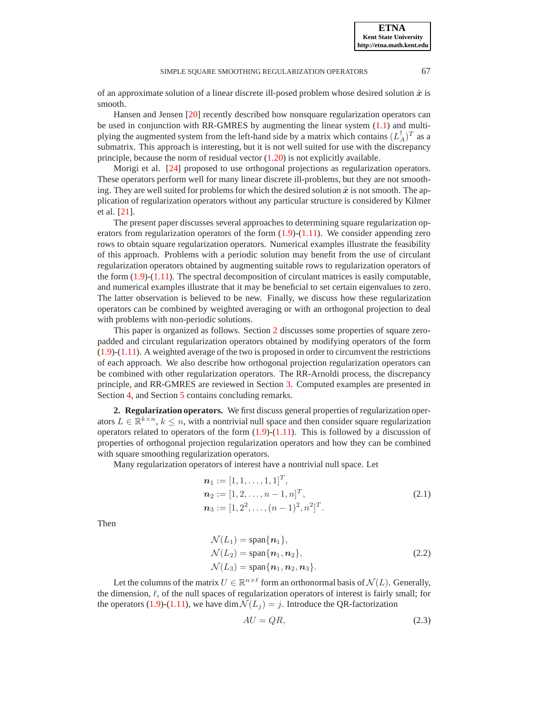of an approximate solution of a linear discrete ill-posed problem whose desired solution  $\hat{x}$  is

Hansen and Jensen [\[20\]](#page-20-9) recently described how nonsquare regularization operators can be used in conjunction with RR-GMRES by augmenting the linear system [\(1.1\)](#page-0-0) and multiplying the augmented system from the left-hand side by a matrix which contains  $(L_A^{\dagger})^T$  as a submatrix. This approach is interesting, but it is not well suited for use with the discrepancy principle, because the norm of residual vector  $(1.20)$  is not explicitly available.

Morigi et al. [\[24\]](#page-20-3) proposed to use orthogonal projections as regularization operators. These operators perform well for many linear discrete ill-problems, but they are not smoothing. They are well suited for problems for which the desired solution  $\hat{x}$  is not smooth. The application of regularization operators without any particular structure is considered by Kilmer et al. [\[21\]](#page-20-10).

The present paper discusses several approaches to determining square regularization operators from regularization operators of the form  $(1.9)-(1.11)$  $(1.9)-(1.11)$  $(1.9)-(1.11)$ . We consider appending zero rows to obtain square regularization operators. Numerical examples illustrate the feasibility of this approach. Problems with a periodic solution may benefit from the use of circulant regularization operators obtained by augmenting suitable rows to regularization operators of the form  $(1.9)-(1.11)$  $(1.9)-(1.11)$  $(1.9)-(1.11)$ . The spectral decomposition of circulant matrices is easily computable, and numerical examples illustrate that it may be beneficial to set certain eigenvalues to zero. The latter observation is believed to be new. Finally, we discuss how these regularization operators can be combined by weighted averaging or with an orthogonal projection to deal with problems with non-periodic solutions.

This paper is organized as follows. Section [2](#page-4-0) discusses some properties of square zeropadded and circulant regularization operators obtained by modifying operators of the form [\(1.9\)](#page-1-3)-[\(1.11\)](#page-2-2). A weighted average of the two is proposed in order to circumvent the restrictions of each approach. We also describe how orthogonal projection regularization operators can be combined with other regularization operators. The RR-Arnoldi process, the discrepancy principle, and RR-GMRES are reviewed in Section [3.](#page-12-0) Computed examples are presented in Section [4,](#page-13-0) and Section [5](#page-19-6) contains concluding remarks.

<span id="page-4-0"></span>**2. Regularization operators.** We first discuss general properties of regularization operators  $L \in \mathbb{R}^{k \times n}$ ,  $k \le n$ , with a nontrivial null space and then consider square regularization operators related to operators of the form  $(1.9)-(1.11)$  $(1.9)-(1.11)$  $(1.9)-(1.11)$ . This is followed by a discussion of properties of orthogonal projection regularization operators and how they can be combined with square smoothing regularization operators.

Many regularization operators of interest have a nontrivial null space. Let

<span id="page-4-3"></span>
$$
\begin{aligned}\n\mathbf{n}_1 &:= [1, 1, \dots, 1, 1]^T, \\
\mathbf{n}_2 &:= [1, 2, \dots, n-1, n]^T, \\
\mathbf{n}_3 &:= [1, 2^2, \dots, (n-1)^2, n^2]^T.\n\end{aligned} \tag{2.1}
$$

Then

smooth.

<span id="page-4-2"></span>
$$
\mathcal{N}(L_1) = \text{span}\{\boldsymbol{n}_1\},
$$
  
\n
$$
\mathcal{N}(L_2) = \text{span}\{\boldsymbol{n}_1, \boldsymbol{n}_2\},
$$
  
\n
$$
\mathcal{N}(L_3) = \text{span}\{\boldsymbol{n}_1, \boldsymbol{n}_2, \boldsymbol{n}_3\}.
$$
\n(2.2)

Let the columns of the matrix  $U \in \mathbb{R}^{n \times \ell}$  form an orthonormal basis of  $\mathcal{N}(L)$ . Generally, the dimension,  $\ell$ , of the null spaces of regularization operators of interest is fairly small; for the operators [\(1.9\)](#page-1-3)-[\(1.11\)](#page-2-2), we have dim  $\mathcal{N}(L_i) = j$ . Introduce the QR-factorization

<span id="page-4-1"></span>
$$
AU = QR,\tag{2.3}
$$

**ETNA Kent State University http://etna.math.kent.edu**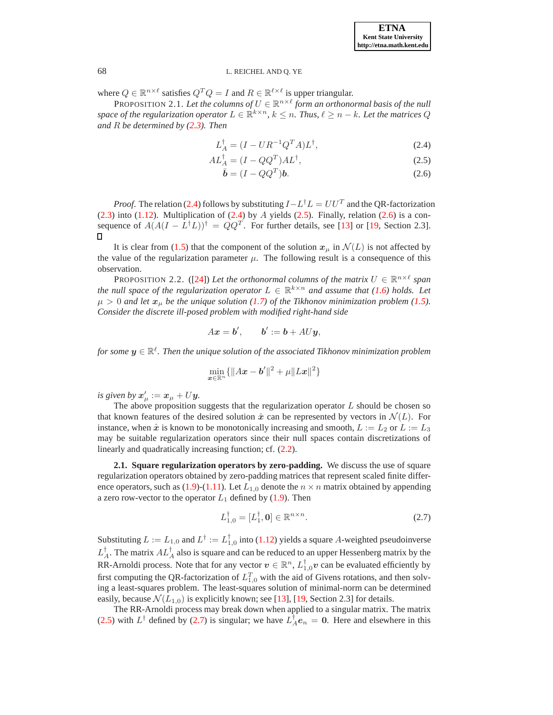<span id="page-5-3"></span>where  $Q \in \mathbb{R}^{n \times \ell}$  satisfies  $Q^T Q = I$  and  $R \in \mathbb{R}^{\ell \times \ell}$  is upper triangular.

**PROPOSITION 2.1.** Let the columns of  $U \in \mathbb{R}^{n \times \ell}$  form an orthonormal basis of the null space of the regularization operator  $L \in \mathbb{R}^{k \times n}$ ,  $k \leq n$ . Thus,  $\ell \geq n - k$ . Let the matrices  $Q$ *and* R *be determined by [\(2.3\)](#page-4-1). Then*

<span id="page-5-0"></span>
$$
L_A^{\dagger} = (I - U R^{-1} Q^T A) L^{\dagger}, \qquad (2.4)
$$

$$
AL_A^{\dagger} = (I - QQ^T)AL^{\dagger},\tag{2.5}
$$

$$
\bar{\boldsymbol{b}} = (I - QQ^T)\boldsymbol{b}.
$$
 (2.6)

*Proof.* The relation [\(2.4\)](#page-5-0) follows by substituting  $I - L^{\dagger}L = U U^T$  and the QR-factorization  $(2.3)$  into  $(1.12)$ . Multiplication of  $(2.4)$  by A yields  $(2.5)$ . Finally, relation  $(2.6)$  is a consequence of  $A(A(I - L^{\dagger}L))$ <sup>†</sup> =  $QQ^T$ . For further details, see [\[13\]](#page-20-2) or [\[19,](#page-20-1) Section 2.3].

It is clear from [\(1.5\)](#page-1-0) that the component of the solution  $x_{\mu}$  in  $\mathcal{N}(L)$  is not affected by the value of the regularization parameter  $\mu$ . The following result is a consequence of this observation.

<span id="page-5-2"></span>PROPOSITION 2.2. ([\[24\]](#page-20-3)) Let the orthonormal columns of the matrix  $U \in \mathbb{R}^{n \times \ell}$  span *the null space of the regularization operator*  $L \in \mathbb{R}^{k \times n}$  *and assume that* [\(1.6\)](#page-1-4) *holds.* Let  $\mu > 0$  *and let*  $x_{\mu}$  *be the unique solution* [\(1.7\)](#page-1-2) *of the Tikhonov minimization problem* [\(1.5\)](#page-1-0)*. Consider the discrete ill-posed problem with modified right-hand side*

$$
Ax = b', \qquad b' := b + A U y,
$$

for some  $y \in \mathbb{R}^{\ell}$ . Then the unique solution of the associated Tikhonov minimization problem

$$
\min_{\bm{x}\in\mathbb{R}^n}\{\|A\bm{x}-\bm{b}'\|^2+\mu\|L\bm{x}\|^2\}
$$

is given by  $x'_{\mu} := x_{\mu} + U\mathbf{y}$ .

The above proposition suggests that the regularization operator  $L$  should be chosen so that known features of the desired solution  $\hat{x}$  can be represented by vectors in  $\mathcal{N}(L)$ . For instance, when  $\hat{x}$  is known to be monotonically increasing and smooth,  $L := L_2$  or  $L := L_3$ may be suitable regularization operators since their null spaces contain discretizations of linearly and quadratically increasing function; cf. [\(2.2\)](#page-4-2).

**2.1. Square regularization operators by zero-padding.** We discuss the use of square regularization operators obtained by zero-padding matrices that represent scaled finite differ-ence operators, such as [\(1.9\)](#page-1-3)-[\(1.11\)](#page-2-2). Let  $L_{1,0}$  denote the  $n \times n$  matrix obtained by appending a zero row-vector to the operator  $L_1$  defined by [\(1.9\)](#page-1-3). Then

<span id="page-5-1"></span>
$$
L_{1,0}^{\dagger} = [L_1^{\dagger}, \mathbf{0}] \in \mathbb{R}^{n \times n}.
$$
 (2.7)

Substituting  $L := L_{1,0}$  and  $L^{\dagger} := L_{1,0}^{\dagger}$  into [\(1.12\)](#page-2-3) yields a square A-weighted pseudoinverse  $L_A^{\dagger}$ . The matrix  $AL_A^{\dagger}$  also is square and can be reduced to an upper Hessenberg matrix by the RR-Arnoldi process. Note that for any vector  $v \in \mathbb{R}^n$ ,  $L_{1,0}^{\dagger}v$  can be evaluated efficiently by first computing the QR-factorization of  $L_{1,0}^T$  with the aid of Givens rotations, and then solving a least-squares problem. The least-squares solution of minimal-norm can be determined easily, because  $\mathcal{N}(L_{1,0})$  is explicitly known; see [\[13\]](#page-20-2), [\[19,](#page-20-1) Section 2.3] for details.

The RR-Arnoldi process may break down when applied to a singular matrix. The matrix [\(2.5\)](#page-5-0) with  $L^{\dagger}$  defined by [\(2.7\)](#page-5-1) is singular; we have  $L^{\dagger}_{A}e_n = 0$ . Here and elsewhere in this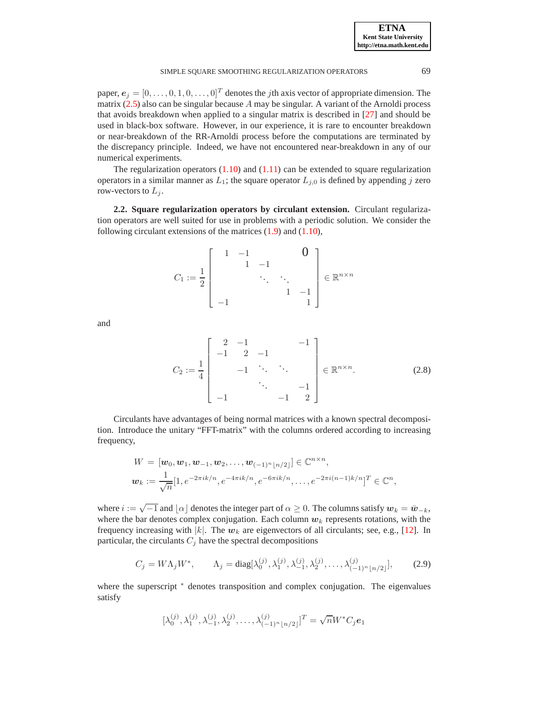paper,  $e_j = [0, \ldots, 0, 1, 0, \ldots, 0]^T$  denotes the *j*th axis vector of appropriate dimension. The matrix  $(2.5)$  also can be singular because A may be singular. A variant of the Arnoldi process that avoids breakdown when applied to a singular matrix is described in [\[27\]](#page-20-11) and should be used in black-box software. However, in our experience, it is rare to encounter breakdown or near-breakdown of the RR-Arnoldi process before the computations are terminated by the discrepancy principle. Indeed, we have not encountered near-breakdown in any of our numerical experiments.

The regularization operators  $(1.10)$  and  $(1.11)$  can be extended to square regularization operators in a similar manner as  $L_1$ ; the square operator  $L_{i,0}$  is defined by appending j zero row-vectors to  $L_i$ .

<span id="page-6-1"></span>**2.2. Square regularization operators by circulant extension.** Circulant regularization operators are well suited for use in problems with a periodic solution. We consider the following circulant extensions of the matrices [\(1.9\)](#page-1-3) and [\(1.10\)](#page-1-5),

$$
C_1 := \frac{1}{2} \left[ \begin{array}{cccc} 1 & -1 & & & 0 \\ & 1 & -1 & & \\ & & \ddots & \ddots & \\ & & & 1 & -1 \\ -1 & & & & 1 \end{array} \right] \in \mathbb{R}^{n \times n}
$$

and

<span id="page-6-2"></span>
$$
C_2 := \frac{1}{4} \begin{bmatrix} 2 & -1 & & & -1 \\ -1 & 2 & -1 & & \\ & -1 & \ddots & \ddots & \\ & & \ddots & & -1 \\ -1 & & & -1 & 2 \end{bmatrix} \in \mathbb{R}^{n \times n}.
$$
 (2.8)

Circulants have advantages of being normal matrices with a known spectral decomposition. Introduce the unitary "FFT-matrix" with the columns ordered according to increasing frequency,

$$
W = [\mathbf{w}_0, \mathbf{w}_1, \mathbf{w}_{-1}, \mathbf{w}_2, \dots, \mathbf{w}_{(-1)^n \lfloor n/2 \rfloor}] \in \mathbb{C}^{n \times n},
$$
  

$$
\mathbf{w}_k := \frac{1}{\sqrt{n}} [1, e^{-2\pi i k/n}, e^{-4\pi i k/n}, e^{-6\pi i k/n}, \dots, e^{-2\pi i (n-1)k/n}]^T \in \mathbb{C}^n,
$$

where  $i := \sqrt{-1}$  and  $\lfloor \alpha \rfloor$  denotes the integer part of  $\alpha \ge 0$ . The columns satisfy  $w_k = \bar{w}_{-k}$ , where the bar denotes complex conjugation. Each column  $w_k$  represents rotations, with the frequency increasing with  $|k|$ . The  $w_k$  are eigenvectors of all circulants; see, e.g., [\[12\]](#page-20-12). In particular, the circulants  $C_j$  have the spectral decompositions

<span id="page-6-0"></span>
$$
C_j = W\Lambda_j W^*, \qquad \Lambda_j = \text{diag}[\lambda_0^{(j)}, \lambda_1^{(j)}, \lambda_{-1}^{(j)}, \lambda_2^{(j)}, \dots, \lambda_{(-1)^n \lfloor n/2 \rfloor}^{(j)}],\tag{2.9}
$$

where the superscript  $*$  denotes transposition and complex conjugation. The eigenvalues satisfy

$$
[\lambda_0^{(j)},\lambda_1^{(j)},\lambda_{-1}^{(j)},\lambda_2^{(j)},\ldots,\lambda_{(-1)^n\lfloor n/2 \rfloor}^{(j)}]^T = \sqrt{n}W^*C_j{\boldsymbol e}_1
$$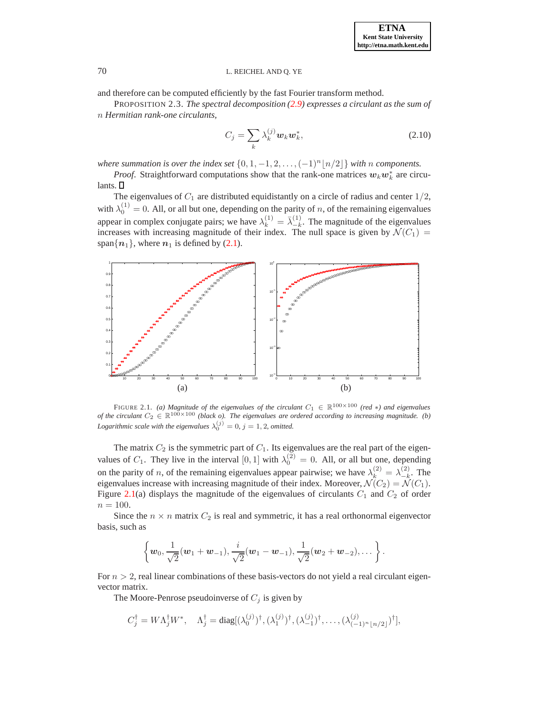and therefore can be computed efficiently by the fast Fourier transform method.

PROPOSITION 2.3. *The spectral decomposition [\(2.9\)](#page-6-0) expresses a circulant as the sum of* n *Hermitian rank-one circulants,*

<span id="page-7-1"></span>
$$
C_j = \sum_k \lambda_k^{(j)} \boldsymbol{w}_k \boldsymbol{w}_k^*,
$$
\n(2.10)

*where summation is over the index set*  $\{0, 1, -1, 2, \ldots, (-1)^n \lfloor n/2 \rfloor \}$  *with* n *components.* 

*Proof.* Straightforward computations show that the rank-one matrices  $w_k w_k^*$  are circulants.  $\square$ 

The eigenvalues of  $C_1$  are distributed equidistantly on a circle of radius and center  $1/2$ , with  $\lambda_0^{(1)} = 0$ . All, or all but one, depending on the parity of *n*, of the remaining eigenvalues appear in complex conjugate pairs; we have  $\lambda_k^{(1)} = \overline{\lambda}_{-k}^{(1)}$  $\frac{1}{k}$ . The magnitude of the eigenvalues increases with increasing magnitude of their index. The null space is given by  $\mathcal{N}(C_1) =$ span $\{n_1\}$ , where  $n_1$  is defined by [\(2.1\)](#page-4-3).



<span id="page-7-0"></span>FIGURE 2.1. *(a) Magnitude of the eigenvalues of the circulant*  $C_1 \in \mathbb{R}^{100 \times 100}$  *(red* \**)* and eigenvalues *of the circulant*  $C_2 \in \mathbb{R}^{100 \times 100}$  *(black o). The eigenvalues are ordered according to increasing magnitude. (b) Logarithmic scale with the eigenvalues*  $\lambda_0^{(j)} = 0$ ,  $j = 1, 2$ , omitted.

The matrix  $C_2$  is the symmetric part of  $C_1$ . Its eigenvalues are the real part of the eigenvalues of  $C_1$ . They live in the interval  $[0,1]$  with  $\lambda_0^{(2)} = 0$ . All, or all but one, depending on the parity of *n*, of the remaining eigenvalues appear pairwise; we have  $\lambda_k^{(2)} = \lambda_{-k}^{(2)}$  $\frac{1}{k}$ . The eigenvalues increase with increasing magnitude of their index. Moreover,  $\mathcal{N}(C_2) = \mathcal{N}(C_1)$ . Figure [2.1\(](#page-7-0)a) displays the magnitude of the eigenvalues of circulants  $C_1$  and  $C_2$  of order  $n = 100.$ 

Since the  $n \times n$  matrix  $C_2$  is real and symmetric, it has a real orthonormal eigenvector basis, such as

$$
\left\{ \boldsymbol{w}_0, \frac{1}{\sqrt{2}}(\boldsymbol{w}_1 + \boldsymbol{w}_{-1}), \frac{i}{\sqrt{2}}(\boldsymbol{w}_1 - \boldsymbol{w}_{-1}), \frac{1}{\sqrt{2}}(\boldsymbol{w}_2 + \boldsymbol{w}_{-2}), \dots \right\}.
$$

For  $n > 2$ , real linear combinations of these basis-vectors do not yield a real circulant eigenvector matrix.

The Moore-Penrose pseudoinverse of  $C_j$  is given by

$$
C_j^{\dagger} = W\Lambda_j^{\dagger} W^*, \quad \Lambda_j^{\dagger} = \text{diag}[(\lambda_0^{(j)})^{\dagger}, (\lambda_1^{(j)})^{\dagger}, (\lambda_{-1}^{(j)})^{\dagger}, \dots, (\lambda_{(-1)^n \lfloor n/2 \rfloor}^{(j)})^{\dagger}],
$$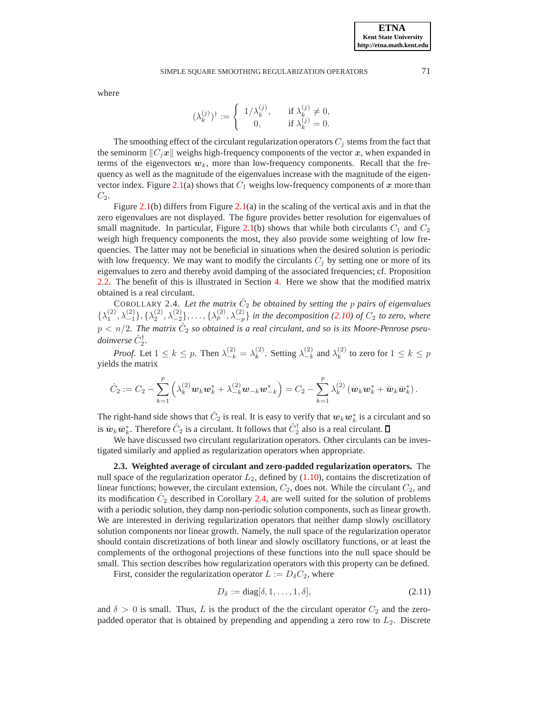## SIMPLE SOUARE SMOOTHING REGULARIZATION OPERATORS 71

where

$$
(\lambda_k^{(j)})^\dagger := \left\{ \begin{array}{cl} 1/\lambda_k^{(j)}, & \quad \text{if } \lambda_k^{(j)} \neq 0, \\ 0, & \quad \text{if } \lambda_k^{(j)} = 0. \end{array} \right.
$$

The smoothing effect of the circulant regularization operators  $C_j$  stems from the fact that the seminorm  $\|C_jx\|$  weighs high-frequency components of the vector x, when expanded in terms of the eigenvectors  $w_k$ , more than low-frequency components. Recall that the frequency as well as the magnitude of the eigenvalues increase with the magnitude of the eigen-vector index. Figure [2.1\(](#page-7-0)a) shows that  $C_1$  weighs low-frequency components of x more than  $C_2$ .

Figure [2.1\(](#page-7-0)b) differs from Figure [2.1\(](#page-7-0)a) in the scaling of the vertical axis and in that the zero eigenvalues are not displayed. The figure provides better resolution for eigenvalues of small magnitude. In particular, Figure [2.1\(](#page-7-0)b) shows that while both circulants  $C_1$  and  $C_2$ weigh high frequency components the most, they also provide some weighting of low frequencies. The latter may not be beneficial in situations when the desired solution is periodic with low frequency. We may want to modify the circulants  $C_i$  by setting one or more of its eigenvalues to zero and thereby avoid damping of the associated frequencies; cf. Proposition [2.2.](#page-5-2) The benefit of this is illustrated in Section [4.](#page-13-0) Here we show that the modified matrix obtained is a real circulant.

<span id="page-8-0"></span>COROLLARY 2.4. Let the matrix  $\hat{C}_2$  be obtained by setting the p pairs of eigenvalues  $\{\lambda_1^{(2)}, \lambda_{-1}^{(2)}\}, \{\lambda_2^{(2)}, \lambda_{-2}^{(2)}\}, \ldots, \{\lambda_p^{(2)}, \lambda_{-p}^{(2)}\}$  *in the decomposition* [\(2.10\)](#page-7-1) of  $C_2$  to zero, where  $p < n/2$ . The matrix  $\hat{C}_2$  so obtained is a real circulant, and so is its Moore-Penrose pseu $doinverse \hat{C}_2^{\dagger}.$ 

*Proof.* Let  $1 \leq k \leq p$ . Then  $\lambda_{-k}^{(2)} = \lambda_k^{(2)}$  $\lambda_k^{(2)}$ . Setting  $\lambda_{-k}^{(2)}$  $\binom{2}{-k}$  and  $\lambda_k^{(2)}$  $\binom{2}{k}$  to zero for  $1 \leq k \leq p$ yields the matrix

$$
\hat{C}_2 := C_2 - \sum_{k=1}^p \left( \lambda_k^{(2)} \mathbf{w}_k \mathbf{w}_k^* + \lambda_{-k}^{(2)} \mathbf{w}_{-k} \mathbf{w}_{-k}^* \right) = C_2 - \sum_{k=1}^p \lambda_k^{(2)} \left( \mathbf{w}_k \mathbf{w}_k^* + \bar{\mathbf{w}}_k \bar{\mathbf{w}}_k^* \right).
$$

The right-hand side shows that  $\hat{C}_2$  is real. It is easy to verify that  $w_k w_k^*$  is a circulant and so is  $\bar{w}_k \bar{w}_k^*$ . Therefore  $\hat{C}_2$  is a circulant. It follows that  $\hat{C}_2^{\dagger}$  also is a real circulant.

We have discussed two circulant regularization operators. Other circulants can be investigated similarly and applied as regularization operators when appropriate.

<span id="page-8-2"></span>**2.3. Weighted average of circulant and zero-padded regularization operators.** The null space of the regularization operator  $L_2$ , defined by [\(1.10\)](#page-1-5), contains the discretization of linear functions; however, the circulant extension,  $C_2$ , does not. While the circulant  $C_2$ , and its modification  $\hat{C}_2$  described in Corollary [2.4,](#page-8-0) are well suited for the solution of problems with a periodic solution, they damp non-periodic solution components, such as linear growth. We are interested in deriving regularization operators that neither damp slowly oscillatory solution components nor linear growth. Namely, the null space of the regularization operator should contain discretizations of both linear and slowly oscillatory functions, or at least the complements of the orthogonal projections of these functions into the null space should be small. This section describes how regularization operators with this property can be defined.

First, consider the regularization operator  $L := D_{\delta}C_2$ , where

<span id="page-8-1"></span>
$$
D_{\delta} := \text{diag}[\delta, 1, \dots, 1, \delta],\tag{2.11}
$$

and  $\delta > 0$  is small. Thus, L is the product of the the circulant operator  $C_2$  and the zeropadded operator that is obtained by prepending and appending a zero row to  $L_2$ . Discrete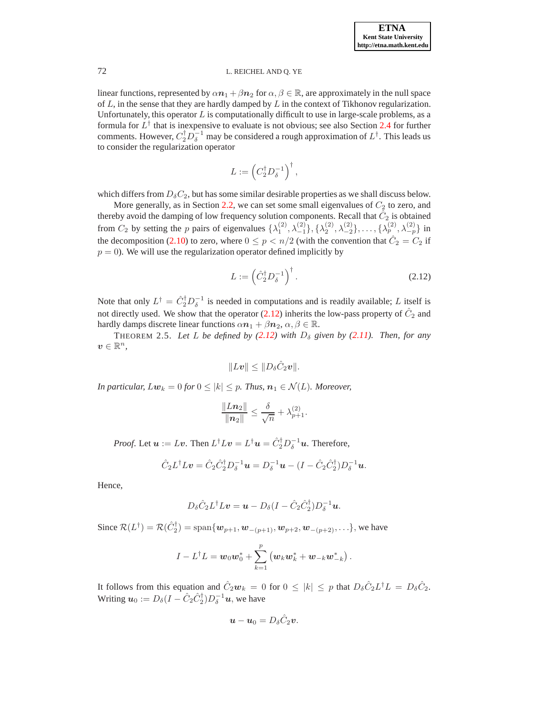linear functions, represented by  $\alpha n_1 + \beta n_2$  for  $\alpha, \beta \in \mathbb{R}$ , are approximately in the null space of  $L$ , in the sense that they are hardly damped by  $L$  in the context of Tikhonov regularization. Unfortunately, this operator  $L$  is computationally difficult to use in large-scale problems, as a formula for  $L^{\dagger}$  that is inexpensive to evaluate is not obvious; see also Section [2.4](#page-10-0) for further comments. However,  $C_2^{\dagger} D_6^{-1}$  may be considered a rough approximation of  $L^{\dagger}$ . This leads us to consider the regularization operator

$$
L:=\left(C_2^\dagger D_\delta^{-1}\right)^\dagger,
$$

which differs from  $D_{\delta}C_2$ , but has some similar desirable properties as we shall discuss below.

More generally, as in Section [2.2,](#page-6-1) we can set some small eigenvalues of  $C_2$  to zero, and thereby avoid the damping of low frequency solution components. Recall that  $\hat{C}_2$  is obtained from  $C_2$  by setting the p pairs of eigenvalues  $\{\lambda_1^{(2)}, \lambda_{-1}^{(2)}\}, \{\lambda_2^{(2)}, \lambda_{-2}^{(2)}\}, \ldots, \{\lambda_p^{(2)}, \lambda_{-p}^{(2)}\}$  in the decomposition [\(2.10\)](#page-7-1) to zero, where  $0 \le p < n/2$  (with the convention that  $\hat{C}_2 = C_2$  if  $p = 0$ ). We will use the regularization operator defined implicitly by

<span id="page-9-0"></span>
$$
L := \left(\hat{C}_2^{\dagger} D_\delta^{-1}\right)^{\dagger}.
$$
\n(2.12)

Note that only  $L^{\dagger} = \hat{C}_2^{\dagger} D_{\delta}^{-1}$  is needed in computations and is readily available; L itself is not directly used. We show that the operator [\(2.12\)](#page-9-0) inherits the low-pass property of  $\hat{C}_2$  and hardly damps discrete linear functions  $\alpha n_1 + \beta n_2, \alpha, \beta \in \mathbb{R}$ .

THEOREM 2.5. Let L be defined by  $(2.12)$  with  $D_{\delta}$  given by  $(2.11)$ *. Then, for any*  $v \in \mathbb{R}^n$ ,

$$
||Lv|| \leq ||D_{\delta}\hat{C}_2v||.
$$

*In particular,*  $Lw_k = 0$  *for*  $0 \leq |k| \leq p$ *. Thus,*  $n_1 \in \mathcal{N}(L)$ *. Moreover,* 

$$
\frac{\|L\boldsymbol{n}_2\|}{\|\boldsymbol{n}_2\|} \leq \frac{\delta}{\sqrt{n}} + \lambda_{p+1}^{(2)}.
$$

*Proof.* Let  $u := Lv$ . Then  $L^{\dagger}Lv = L^{\dagger}u = \hat{C}_2^{\dagger}D_\delta^{-1}u$ . Therefore,

$$
\hat{C}_2 L^{\dagger} L \mathbf{v} = \hat{C}_2 \hat{C}_2^{\dagger} D_{\delta}^{-1} \mathbf{u} = D_{\delta}^{-1} \mathbf{u} - (I - \hat{C}_2 \hat{C}_2^{\dagger}) D_{\delta}^{-1} \mathbf{u}.
$$

Hence,

$$
D_{\delta}\hat{C}_2L^{\dagger}Lv = \boldsymbol{u} - D_{\delta}(I - \hat{C}_2\hat{C}_2^{\dagger})D_{\delta}^{-1}\boldsymbol{u}.
$$

Since  $\mathcal{R}(L^{\dagger}) = \mathcal{R}(\hat{C}_2^{\dagger}) = \text{span}\{w_{p+1}, w_{-(p+1)}, w_{p+2}, w_{-(p+2)}, \ldots\}$ , we have

$$
I - L^{\dagger}L = \mathbf{w}_0 \mathbf{w}_0^* + \sum_{k=1}^p \left( \mathbf{w}_k \mathbf{w}_k^* + \mathbf{w}_{-k} \mathbf{w}_{-k}^* \right).
$$

It follows from this equation and  $\hat{C}_2 \mathbf{w}_k = 0$  for  $0 \le |k| \le p$  that  $D_{\delta} \hat{C}_2 L^{\dagger} L = D_{\delta} \hat{C}_2$ . Writing  $\mathbf{u}_0 := D_\delta(I - \hat{C}_2 \hat{C}_2^{\dagger}) D_\delta^{-1} \mathbf{u}$ , we have

$$
\mathbf{u}-\mathbf{u}_0=D_{\delta}\hat{C}_2\mathbf{v}.
$$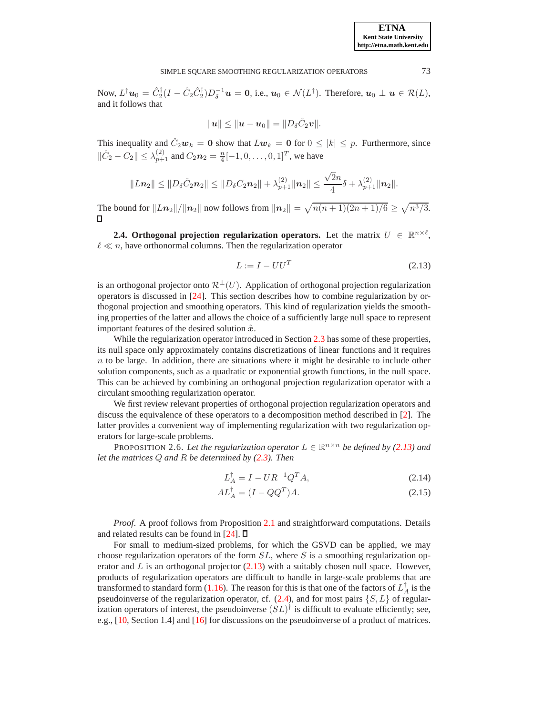Now,  $L^{\dagger}u_0 = \hat{C}_2^{\dagger}(I - \hat{C}_2\hat{C}_2^{\dagger})D_{\delta}^{-1}u = 0$ , i.e.,  $u_0 \in \mathcal{N}(L^{\dagger})$ . Therefore,  $u_0 \perp u \in \mathcal{R}(L)$ , and it follows that

$$
\|\bm{u}\| \le \|\bm{u} - \bm{u}_0\| = \|D_{\delta}\hat{C}_2\bm{v}\|.
$$

This inequality and  $\hat{C}_2 \mathbf{w}_k = \mathbf{0}$  show that  $L \mathbf{w}_k = \mathbf{0}$  for  $0 \le |k| \le p$ . Furthermore, since  $\|\hat{C}_2 - C_2\| \leq \lambda_{p+1}^{(2)}$  and  $C_2 n_2 = \frac{n}{4} [-1, 0, \dots, 0, 1]^T$ , we have

$$
||Ln_2|| \leq ||D_{\delta}\hat{C}_2 \mathbf{n}_2|| \leq ||D_{\delta}C_2 \mathbf{n}_2|| + \lambda_{p+1}^{(2)} ||\mathbf{n}_2|| \leq \frac{\sqrt{2}n}{4}\delta + \lambda_{p+1}^{(2)} ||\mathbf{n}_2||.
$$

The bound for  $||Ln_2||/||n_2||$  now follows from  $||n_2|| = \sqrt{n(n+1)(2n+1)/6} \ge \sqrt{n^3/3}$ .

<span id="page-10-0"></span>**2.4. Orthogonal projection regularization operators.** Let the matrix  $U \in \mathbb{R}^{n \times \ell}$ ,  $\ell \ll n$ , have orthonormal columns. Then the regularization operator

<span id="page-10-1"></span>
$$
L := I - U U^T \tag{2.13}
$$

is an orthogonal projector onto  $\mathcal{R}^{\perp}(U)$ . Application of orthogonal projection regularization operators is discussed in [\[24\]](#page-20-3). This section describes how to combine regularization by orthogonal projection and smoothing operators. This kind of regularization yields the smoothing properties of the latter and allows the choice of a sufficiently large null space to represent important features of the desired solution  $\hat{x}$ .

While the regularization operator introduced in Section [2.3](#page-8-2) has some of these properties, its null space only approximately contains discretizations of linear functions and it requires  $n$  to be large. In addition, there are situations where it might be desirable to include other solution components, such as a quadratic or exponential growth functions, in the null space. This can be achieved by combining an orthogonal projection regularization operator with a circulant smoothing regularization operator.

We first review relevant properties of orthogonal projection regularization operators and discuss the equivalence of these operators to a decomposition method described in [\[2\]](#page-19-7). The latter provides a convenient way of implementing regularization with two regularization operators for large-scale problems.

PROPOSITION 2.6. Let the regularization operator  $L \in \mathbb{R}^{n \times n}$  be defined by [\(2.13\)](#page-10-1) and *let the matrices* Q *and* R *be determined by [\(2.3\)](#page-4-1). Then*

<span id="page-10-2"></span>
$$
L_A^{\dagger} = I - U R^{-1} Q^T A, \tag{2.14}
$$

$$
AL_A^\dagger = (I - QQ^T)A. \tag{2.15}
$$

*Proof.* A proof follows from Proposition [2.1](#page-5-3) and straightforward computations. Details and related results can be found in  $[24]$ .  $\Box$ 

For small to medium-sized problems, for which the GSVD can be applied, we may choose regularization operators of the form  $SL$ , where  $S$  is a smoothing regularization operator and  $L$  is an orthogonal projector  $(2.13)$  with a suitably chosen null space. However, products of regularization operators are difficult to handle in large-scale problems that are transformed to standard form [\(1.16\)](#page-2-0). The reason for this is that one of the factors of  $L_A^{\dagger}$  is the pseudoinverse of the regularization operator, cf.  $(2.4)$ , and for most pairs  $\{S, L\}$  of regularization operators of interest, the pseudoinverse  $(SL)^{\dagger}$  is difficult to evaluate efficiently; see, e.g., [\[10,](#page-19-8) Section 1.4] and [\[16\]](#page-20-13) for discussions on the pseudoinverse of a product of matrices.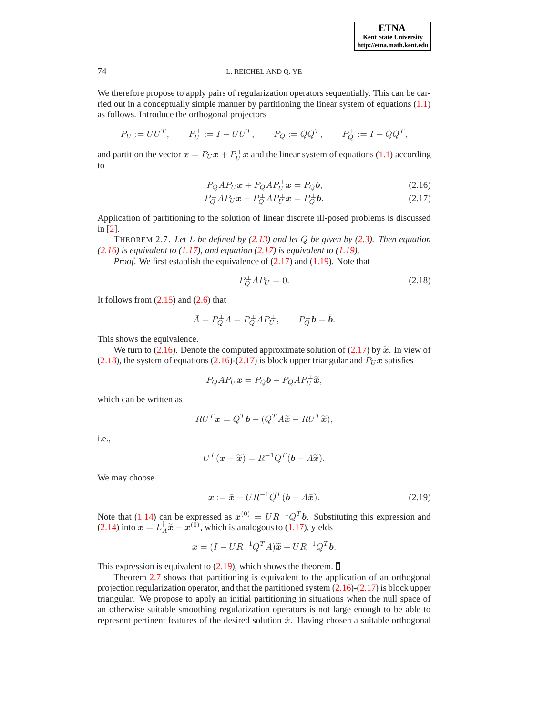We therefore propose to apply pairs of regularization operators sequentially. This can be carried out in a conceptually simple manner by partitioning the linear system of equations [\(1.1\)](#page-0-0) as follows. Introduce the orthogonal projectors

$$
P_U := UU^T
$$
,  $P_U^{\perp} := I - UU^T$ ,  $P_Q := QQ^T$ ,  $P_Q^{\perp} := I - QQ^T$ ,

and partition the vector  $x = P_U x + P_U^{\perp} x$  and the linear system of equations [\(1.1\)](#page-0-0) according to

<span id="page-11-0"></span>
$$
P_Q A P_U \mathbf{x} + P_Q A P_U^{\perp} \mathbf{x} = P_Q \mathbf{b},\tag{2.16}
$$

$$
P_Q^{\perp}AP_U\boldsymbol{x} + P_Q^{\perp}AP_U^{\perp}\boldsymbol{x} = P_Q^{\perp}\boldsymbol{b}.\tag{2.17}
$$

Application of partitioning to the solution of linear discrete ill-posed problems is discussed in [\[2\]](#page-19-7).

<span id="page-11-3"></span>THEOREM 2.7. *Let* L *be defined by [\(2.13\)](#page-10-1) and let* Q *be given by [\(2.3\)](#page-4-1). Then equation [\(2.16\)](#page-11-0) is equivalent to [\(1.17\)](#page-2-1), and equation [\(2.17\)](#page-11-0) is equivalent to [\(1.19\)](#page-3-0).*

*Proof.* We first establish the equivalence of  $(2.17)$  and  $(1.19)$ . Note that

<span id="page-11-1"></span>
$$
P_Q^{\perp}AP_U = 0.\t\t(2.18)
$$

It follows from  $(2.15)$  and  $(2.6)$  that

$$
\bar{A} = P_Q^{\perp} A = P_Q^{\perp} A P_U^{\perp}, \qquad P_Q^{\perp} b = \bar{b}.
$$

This shows the equivalence.

We turn to [\(2.16\)](#page-11-0). Denote the computed approximate solution of [\(2.17\)](#page-11-0) by  $\tilde{x}$ . In view of [\(2.18\)](#page-11-1), the system of equations [\(2.16\)](#page-11-0)-[\(2.17\)](#page-11-0) is block upper triangular and  $P_U x$  satisfies

$$
P_Q A P_U \mathbf{x} = P_Q \mathbf{b} - P_Q A P_U^{\perp} \widetilde{\mathbf{x}},
$$

which can be written as

$$
RU^T\boldsymbol{x} = Q^T\boldsymbol{b} - (Q^T A \widetilde{\boldsymbol{x}} - RU^T \widetilde{\boldsymbol{x}}),
$$

i.e.,

$$
U^T(\mathbf{x} - \widetilde{\mathbf{x}}) = R^{-1}Q^T(\mathbf{b} - A\widetilde{\mathbf{x}}).
$$

We may choose

<span id="page-11-2"></span>
$$
\boldsymbol{x} := \bar{\boldsymbol{x}} + U R^{-1} Q^T (\boldsymbol{b} - A \bar{\boldsymbol{x}}). \tag{2.19}
$$

Note that [\(1.14\)](#page-2-5) can be expressed as  $x^{(0)} = U R^{-1} Q^T b$ . Substituting this expression and [\(2.14\)](#page-10-2) into  $x = L_A^{\dagger} \tilde{x} + x^{(0)}$ , which is analogous to [\(1.17\)](#page-2-1), yields

$$
\boldsymbol{x} = (I - U R^{-1} Q^T A) \tilde{\boldsymbol{x}} + U R^{-1} Q^T \boldsymbol{b}.
$$

This expression is equivalent to  $(2.19)$ , which shows the theorem.  $\square$ 

Theorem [2.7](#page-11-3) shows that partitioning is equivalent to the application of an orthogonal projection regularization operator, and that the partitioned system [\(2.16\)](#page-11-0)-[\(2.17\)](#page-11-0) is block upper triangular. We propose to apply an initial partitioning in situations when the null space of an otherwise suitable smoothing regularization operators is not large enough to be able to represent pertinent features of the desired solution  $\hat{x}$ . Having chosen a suitable orthogonal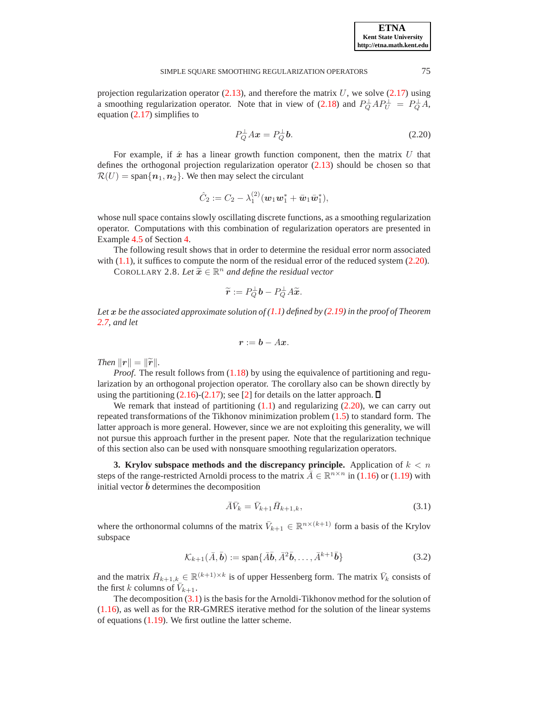### SIMPLE SOUARE SMOOTHING REGULARIZATION OPERATORS 75

projection regularization operator  $(2.13)$ , and therefore the matrix U, we solve  $(2.17)$  using a smoothing regularization operator. Note that in view of [\(2.18\)](#page-11-1) and  $P_Q^{\perp}AP_U^{\perp} = P_Q^{\perp}A$ , equation [\(2.17\)](#page-11-0) simplifies to

<span id="page-12-1"></span>
$$
P_Q^{\perp}Ax = P_Q^{\perp}b. \tag{2.20}
$$

For example, if  $\hat{x}$  has a linear growth function component, then the matrix U that defines the orthogonal projection regularization operator [\(2.13\)](#page-10-1) should be chosen so that  $\mathcal{R}(U) = \text{span}\{\boldsymbol{n}_1, \boldsymbol{n}_2\}$ . We then may select the circulant

$$
\hat{C}_2 := C_2 - \lambda_1^{(2)} (\mathbf{w}_1 \mathbf{w}_1^* + \bar{\mathbf{w}}_1 \bar{\mathbf{w}}_1^*),
$$

whose null space contains slowly oscillating discrete functions, as a smoothing regularization operator. Computations with this combination of regularization operators are presented in Example [4.5](#page-18-0) of Section [4.](#page-13-0)

The following result shows that in order to determine the residual error norm associated with  $(1.1)$ , it suffices to compute the norm of the residual error of the reduced system  $(2.20)$ .

**COROLLARY 2.8.** Let  $\widetilde{\mathbf{x}} \in \mathbb{R}^n$  and define the residual vector

$$
\widetilde{r} := P_{Q}^{\perp}b - P_{Q}^{\perp}A\widetilde{x}.
$$

*Let* x *be the associated approximate solution of [\(1.1\)](#page-0-0) defined by [\(2.19\)](#page-11-2) in the proof of Theorem [2.7,](#page-11-3) and let*

$$
r:=b-Ax.
$$

*Then*  $\|\mathbf{r}\| = \|\widetilde{\mathbf{r}}\|$ .

*Proof.* The result follows from  $(1.18)$  by using the equivalence of partitioning and regularization by an orthogonal projection operator. The corollary also can be shown directly by using the partitioning  $(2.16)-(2.17)$  $(2.16)-(2.17)$ ; see [\[2\]](#page-19-7) for details on the latter approach.  $\Box$ 

We remark that instead of partitioning  $(1.1)$  and regularizing  $(2.20)$ , we can carry out repeated transformations of the Tikhonov minimization problem  $(1.5)$  to standard form. The latter approach is more general. However, since we are not exploiting this generality, we will not pursue this approach further in the present paper. Note that the regularization technique of this section also can be used with nonsquare smoothing regularization operators.

<span id="page-12-0"></span>**3. Krylov subspace methods and the discrepancy principle.** Application of  $k < n$ steps of the range-restricted Arnoldi process to the matrix  $\bar{A} \in \mathbb{R}^{n \times n}$  in [\(1.16\)](#page-2-0) or [\(1.19\)](#page-3-0) with initial vector  $\bar{b}$  determines the decomposition

<span id="page-12-2"></span>
$$
\bar{A}\bar{V}_k = \bar{V}_{k+1}\bar{H}_{k+1,k},\tag{3.1}
$$

where the orthonormal columns of the matrix  $\bar{V}_{k+1} \in \mathbb{R}^{n \times (k+1)}$  form a basis of the Krylov subspace

<span id="page-12-3"></span>
$$
\mathcal{K}_{k+1}(\bar{A}, \bar{\mathbf{b}}) := \text{span}\{\bar{A}\bar{\mathbf{b}}, \bar{A}^2\bar{\mathbf{b}}, \dots, \bar{A}^{k+1}\bar{\mathbf{b}}\}
$$
(3.2)

and the matrix  $\bar{H}_{k+1,k} \in \mathbb{R}^{(k+1)\times k}$  is of upper Hessenberg form. The matrix  $\bar{V}_k$  consists of the first k columns of  $\bar{V}_{k+1}$ .

The decomposition [\(3.1\)](#page-12-2) is the basis for the Arnoldi-Tikhonov method for the solution of [\(1.16\)](#page-2-0), as well as for the RR-GMRES iterative method for the solution of the linear systems of equations [\(1.19\)](#page-3-0). We first outline the latter scheme.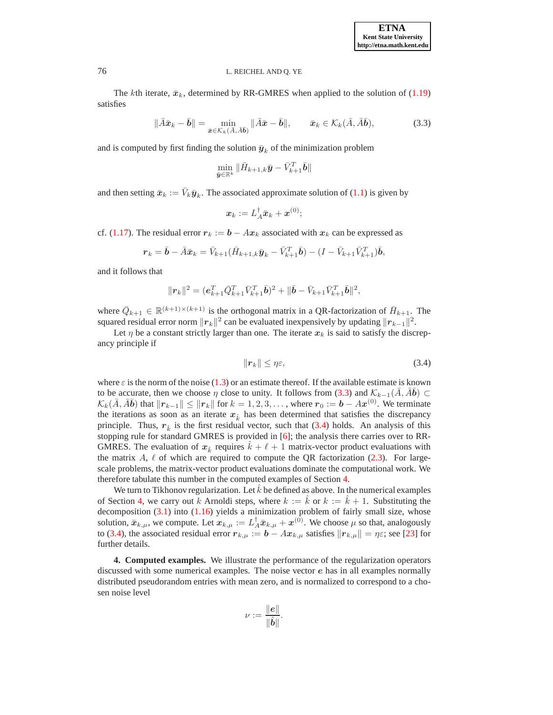The kth iterate,  $\bar{x}_k$ , determined by RR-GMRES when applied to the solution of [\(1.19\)](#page-3-0) satisfies

<span id="page-13-1"></span>
$$
\|\bar{A}\bar{\boldsymbol{x}}_k - \bar{\boldsymbol{b}}\| = \min_{\bar{\boldsymbol{x}} \in \mathcal{K}_k(\bar{A}, \bar{A}\bar{\boldsymbol{b}})} \|\bar{A}\bar{\boldsymbol{x}} - \bar{\boldsymbol{b}}\|, \qquad \bar{\boldsymbol{x}}_k \in \mathcal{K}_k(\bar{A}, \bar{A}\bar{\boldsymbol{b}}), \tag{3.3}
$$

and is computed by first finding the solution  $\bar{y}_k$  of the minimization problem

$$
\min_{\bar{\boldsymbol{y}}\in\mathbb{R}^k}\|\bar{H}_{k+1,k}\bar{\boldsymbol{y}}-\bar{V}_{k+1}^T\bar{\boldsymbol{b}}\|
$$

and then setting  $\bar{x}_k := \bar{V}_k \bar{y}_k$ . The associated approximate solution of [\(1.1\)](#page-0-0) is given by

$$
\boldsymbol{x}_k := L_A^\dagger \bar{\boldsymbol{x}}_k + \boldsymbol{x}^{(0)};
$$

cf. [\(1.17\)](#page-2-1). The residual error  $r_k := b - Ax_k$  associated with  $x_k$  can be expressed as

$$
\boldsymbol{r}_k = \bar{\boldsymbol{b}} - \bar{A}\bar{\boldsymbol{x}}_k = \bar{V}_{k+1}(\bar{H}_{k+1,k}\bar{\boldsymbol{y}}_k - \bar{V}_{k+1}^T\bar{\boldsymbol{b}}) - (I - \bar{V}_{k+1}\bar{V}_{k+1}^T)\bar{\boldsymbol{b}},
$$

and it follows that

$$
\|\mathbf{r}_{k}\|^{2} = (e_{k+1}^{T}\bar{Q}_{k+1}^{T}\bar{V}_{k+1}^{T}\bar{b})^{2} + \|\bar{b} - \bar{V}_{k+1}\bar{V}_{k+1}^{T}\bar{b}\|^{2},
$$

where  $\overline{Q}_{k+1} \in \mathbb{R}^{(k+1)\times (k+1)}$  is the orthogonal matrix in a QR-factorization of  $\overline{H}_{k+1}$ . The squared residual error norm  $||r_k||^2$  can be evaluated inexpensively by updating  $||r_{k-1}||^2$ .

Let  $\eta$  be a constant strictly larger than one. The iterate  $x_k$  is said to satisfy the discrepancy principle if

<span id="page-13-2"></span>
$$
\|\mathbf{r}_k\| \le \eta \varepsilon,\tag{3.4}
$$

where  $\varepsilon$  is the norm of the noise [\(1.3\)](#page-0-1) or an estimate thereof. If the available estimate is known to be accurate, then we choose  $\eta$  close to unity. It follows from [\(3.3\)](#page-13-1) and  $\mathcal{K}_{k-1}(\bar{A}, \bar{A}\bar{b}) \subset$  $\mathcal{K}_k(\bar{A}, \bar{A}\bar{b})$  that  $\|\bm{r}_{k-1}\| \leq \|\bm{r}_k\|$  for  $k = 1, 2, 3, \ldots$ , where  $\bm{r}_0 := \bm{b} - A\bm{x}^{(0)}$ . We terminate the iterations as soon as an iterate  $x_k^{\hat{i}}$  has been determined that satisfies the discrepancy principle. Thus,  $r_{\hat{k}}$  is the first residual vector, such that [\(3.4\)](#page-13-2) holds. An analysis of this stopping rule for standard GMRES is provided in [\[6\]](#page-19-9); the analysis there carries over to RR-GMRES. The evaluation of  $x_k$  requires  $k + \ell + 1$  matrix-vector product evaluations with the matrix  $A, \ell$  of which are required to compute the QR factorization [\(2.3\)](#page-4-1). For largescale problems, the matrix-vector product evaluations dominate the computational work. We therefore tabulate this number in the computed examples of Section [4.](#page-13-0)

We turn to Tikhonov regularization. Let  $\hat{k}$  be defined as above. In the numerical examples of Section [4,](#page-13-0) we carry out k Arnoldi steps, where  $k := \hat{k}$  or  $k := \hat{k} + 1$ . Substituting the decomposition  $(3.1)$  into  $(1.16)$  yields a minimization problem of fairly small size, whose solution,  $\bar{x}_{k,\mu}$ , we compute. Let  $x_{k,\mu} := L_A^{\dagger} \bar{x}_{k,\mu} + x^{(0)}$ . We choose  $\mu$  so that, analogously to [\(3.4\)](#page-13-2), the associated residual error  $r_{k,\mu} := \mathbf{b} - A x_{k,\mu}$  satisfies  $\|\mathbf{r}_{k,\mu}\| = \eta \varepsilon$ ; see [\[23\]](#page-20-7) for further details.

<span id="page-13-0"></span>**4. Computed examples.** We illustrate the performance of the regularization operators discussed with some numerical examples. The noise vector e has in all examples normally distributed pseudorandom entries with mean zero, and is normalized to correspond to a chosen noise level

$$
\nu:=\frac{\|{\boldsymbol e}\|}{\|\hat{\boldsymbol b}\|}.
$$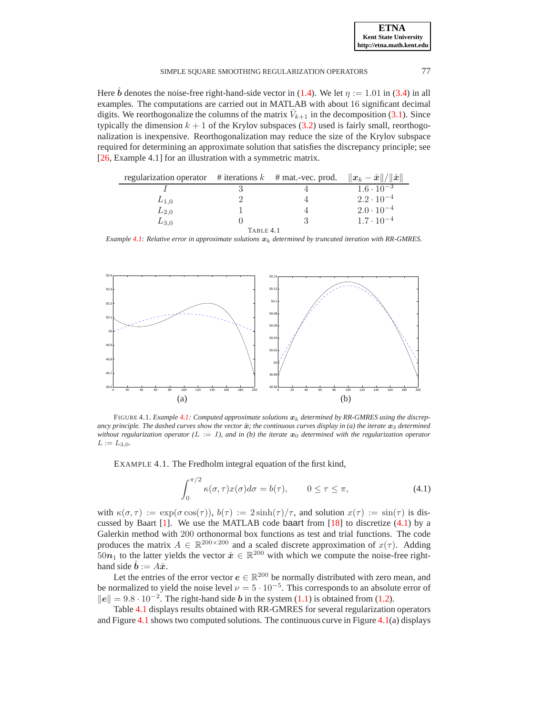| <b>ETNA</b>                  |
|------------------------------|
| <b>Kent State University</b> |
| http://etna.math.kent.edu    |

## SIMPLE SQUARE SMOOTHING REGULARIZATION OPERATORS 77

Here  $\hat{b}$  denotes the noise-free right-hand-side vector in [\(1.4\)](#page-0-2). We let  $\eta := 1.01$  in [\(3.4\)](#page-13-2) in all examples. The computations are carried out in MATLAB with about 16 significant decimal digits. We reorthogonalize the columns of the matrix  $\bar{V}_{k+1}$  in the decomposition [\(3.1\)](#page-12-2). Since typically the dimension  $k + 1$  of the Krylov subspaces [\(3.2\)](#page-12-3) used is fairly small, reorthogonalization is inexpensive. Reorthogonalization may reduce the size of the Krylov subspace required for determining an approximate solution that satisfies the discrepancy principle; see [\[26,](#page-20-14) Example 4.1] for an illustration with a symmetric matrix.

| regularization operator # iterations $k$ # mat.-vec. prod. |           | $\ \boldsymbol{x}_k-\hat{\boldsymbol{x}}\ /\ \hat{\boldsymbol{x}}\ $ |
|------------------------------------------------------------|-----------|----------------------------------------------------------------------|
|                                                            |           | $1.6 \cdot \overline{10^{-3}}$                                       |
| $L_{1,0}$                                                  |           | $2.2 \cdot 10^{-4}$                                                  |
| $L_{2,0}$                                                  |           | $2.0 \cdot 10^{-4}$                                                  |
| $L_{3,0}$                                                  |           | $1.7 \cdot 10^{-4}$                                                  |
|                                                            | TABLE 4.1 |                                                                      |

<span id="page-14-2"></span>*Example* [4.1:](#page-14-0) *Relative error in approximate solutions*  $x_k$  *determined by truncated iteration with RR-GMRES.* 



FIGURE 4.1. *Example [4.1:](#page-14-0) Computed approximate solutions*  $x_k$  *determined by RR-GMRES using the discrepancy principle. The dashed curves show the vector*  $\hat{x}$ *; the continuous curves display in (a) the iterate*  $x_3$  *determined* without regularization operator ( $L := I$ ), and in (b) the iterate  $x_0$  determined with the regularization operator  $L := L_{3,0}$ .

<span id="page-14-3"></span><span id="page-14-0"></span>EXAMPLE 4.1. The Fredholm integral equation of the first kind,

<span id="page-14-1"></span>
$$
\int_0^{\pi/2} \kappa(\sigma, \tau) x(\sigma) d\sigma = b(\tau), \qquad 0 \le \tau \le \pi,
$$
\n(4.1)

with  $\kappa(\sigma, \tau) := \exp(\sigma \cos(\tau))$ ,  $b(\tau) := 2 \sinh(\tau)/\tau$ , and solution  $x(\tau) := \sin(\tau)$  is discussed by Baart  $[1]$ . We use the MATLAB code baart from  $[18]$  to discretize  $(4.1)$  by a Galerkin method with 200 orthonormal box functions as test and trial functions. The code produces the matrix  $A \in \mathbb{R}^{200 \times 200}$  and a scaled discrete approximation of  $x(\tau)$ . Adding  $50n_1$  to the latter yields the vector  $\hat{x} \in \mathbb{R}^{200}$  with which we compute the noise-free righthand side  $\hat{b} := A\hat{x}$ .

Let the entries of the error vector  $e \in \mathbb{R}^{200}$  be normally distributed with zero mean, and be normalized to yield the noise level  $\nu = 5 \cdot 10^{-5}$ . This corresponds to an absolute error of  $||e|| = 9.8 \cdot 10^{-2}$ . The right-hand side *b* in the system [\(1.1\)](#page-0-0) is obtained from [\(1.2\)](#page-0-3).

Table [4.1](#page-14-2) displays results obtained with RR-GMRES for several regularization operators and Figure [4.1](#page-14-3) shows two computed solutions. The continuous curve in Figure  $4.1(a)$  $4.1(a)$  displays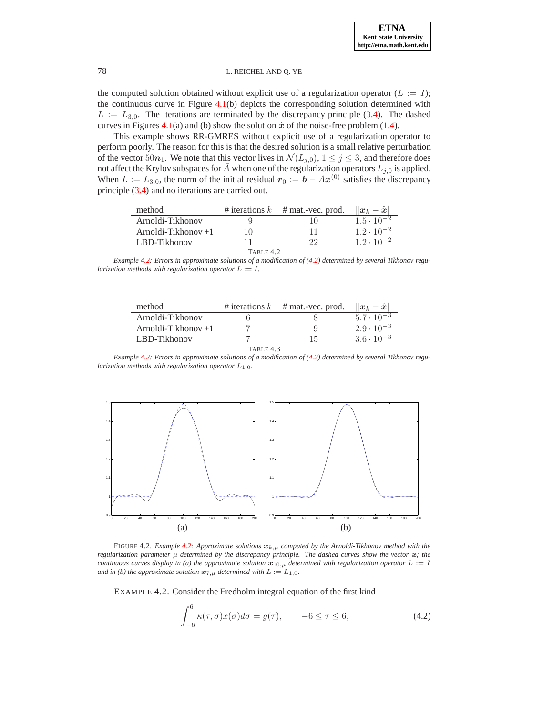the computed solution obtained without explicit use of a regularization operator ( $L := I$ ); the continuous curve in Figure [4.1\(](#page-14-3)b) depicts the corresponding solution determined with  $L := L_{3,0}$ . The iterations are terminated by the discrepancy principle [\(3.4\)](#page-13-2). The dashed curves in Figures [4.1\(](#page-14-3)a) and (b) show the solution  $\hat{x}$  of the noise-free problem [\(1.4\)](#page-0-2).

This example shows RR-GMRES without explicit use of a regularization operator to perform poorly. The reason for this is that the desired solution is a small relative perturbation of the vector 50 $n_1$ . We note that this vector lives in  $\mathcal{N}(L_{j,0}), 1 \le j \le 3$ , and therefore does not affect the Krylov subspaces for  $\overline{A}$  when one of the regularization operators  $L_{j,0}$  is applied. When  $L := L_{3,0}$ , the norm of the initial residual  $r_0 := \mathbf{b} - A\mathbf{x}^{(0)}$  satisfies the discrepancy principle [\(3.4\)](#page-13-2) and no iterations are carried out.

| method                |    | # iterations $k$ # mat.-vec. prod. | $\ \boldsymbol{x}_k-\hat{\boldsymbol{x}}\ $ |
|-----------------------|----|------------------------------------|---------------------------------------------|
| Arnoldi-Tikhonov      |    | 10                                 | $1.5 \cdot 10^{-2}$                         |
| Arnoldi-Tikhonov $+1$ | 10 | 11                                 | $1.2 \cdot 10^{-2}$                         |
| LBD-Tikhonov          | 11 | 99.                                | $1.2 \cdot 10^{-2}$                         |
| TABLE 4.2             |    |                                    |                                             |

<span id="page-15-2"></span>*Example [4.2:](#page-15-0) Errors in approximate solutions of a modification of [\(4.2\)](#page-15-1) determined by several Tikhonov regularization methods with regularization operator*  $L := I$ .

| method                |           | # iterations $k$ # mat.-vec. prod. | $\ \boldsymbol{x}_k-\hat{\boldsymbol{x}}\ $ |
|-----------------------|-----------|------------------------------------|---------------------------------------------|
| Arnoldi-Tikhonov      |           |                                    | $5.7 \cdot 10^{-3}$                         |
| Arnoldi-Tikhonov $+1$ |           | ū                                  | $2.9 \cdot 10^{-3}$                         |
| LBD-Tikhonov          |           | 15                                 | $3.6 \cdot 10^{-3}$                         |
|                       | TABLE 4.3 |                                    |                                             |

<span id="page-15-3"></span>*Example [4.2:](#page-15-0) Errors in approximate solutions of a modification of [\(4.2\)](#page-15-1) determined by several Tikhonov regularization methods with regularization operator*  $L_{1,0}$ *.* 



FIGURE 4.2. *Example* [4.2:](#page-15-0) Approximate solutions  $x_{k,\mu}$  computed by the Arnoldi-Tikhonov method with the *regularization parameter*  $\mu$  *determined by the discrepancy principle. The dashed curves show the vector*  $\hat{\mathbf{x}}$ *; the continuous curves display in (a) the approximate solution*  $x_{10,\mu}$  *determined with regularization operator*  $L := I$ *and in (b) the approximate solution*  $\mathbf{x}_{7,\mu}$  *determined with*  $L := L_{1,0}$ *.* 

<span id="page-15-4"></span><span id="page-15-0"></span>EXAMPLE 4.2. Consider the Fredholm integral equation of the first kind

<span id="page-15-1"></span>
$$
\int_{-6}^{6} \kappa(\tau, \sigma) x(\sigma) d\sigma = g(\tau), \qquad -6 \le \tau \le 6,
$$
\n(4.2)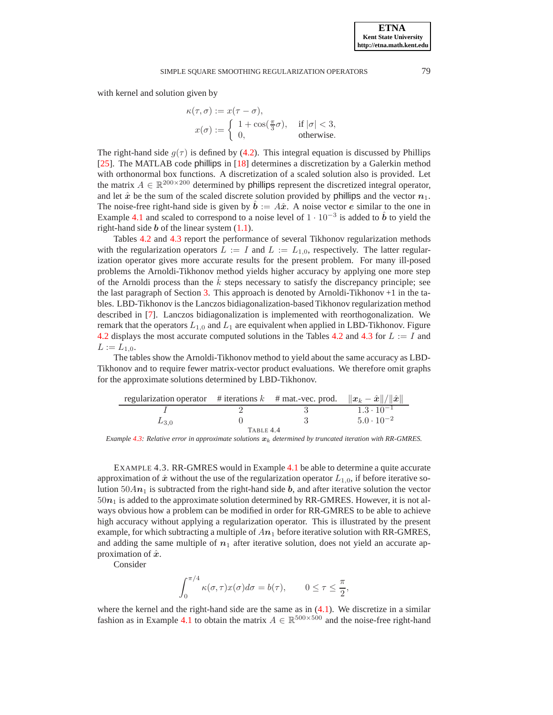### SIMPLE SQUARE SMOOTHING REGULARIZATION OPERATORS 79

with kernel and solution given by

$$
\kappa(\tau,\sigma) := x(\tau - \sigma),
$$
  
\n
$$
x(\sigma) := \begin{cases} 1 + \cos(\frac{\pi}{3}\sigma), & \text{if } |\sigma| < 3, \\ 0, & \text{otherwise.} \end{cases}
$$

The right-hand side  $g(\tau)$  is defined by [\(4.2\)](#page-15-1). This integral equation is discussed by Phillips [\[25\]](#page-20-16). The MATLAB code phillips in [\[18\]](#page-20-15) determines a discretization by a Galerkin method with orthonormal box functions. A discretization of a scaled solution also is provided. Let the matrix  $A \in \mathbb{R}^{200 \times 200}$  determined by phillips represent the discretized integral operator, and let  $\hat{x}$  be the sum of the scaled discrete solution provided by phillips and the vector  $n_1$ . The noise-free right-hand side is given by  $\mathbf{b} := A\hat{\mathbf{x}}$ . A noise vector e similar to the one in Example [4.1](#page-14-0) and scaled to correspond to a noise level of  $1 \cdot 10^{-3}$  is added to  $\hat{b}$  to yield the right-hand side  $b$  of the linear system  $(1.1)$ .

Tables [4.2](#page-15-2) and [4.3](#page-15-3) report the performance of several Tikhonov regularization methods with the regularization operators  $L := I$  and  $L := L_{1,0}$ , respectively. The latter regularization operator gives more accurate results for the present problem. For many ill-posed problems the Arnoldi-Tikhonov method yields higher accuracy by applying one more step of the Arnoldi process than the  $\hat{k}$  steps necessary to satisfy the discrepancy principle; see the last paragraph of Section [3.](#page-12-0) This approach is denoted by Arnoldi-Tikhonov  $+1$  in the tables. LBD-Tikhonov is the Lanczos bidiagonalization-based Tikhonov regularization method described in [\[7\]](#page-19-2). Lanczos bidiagonalization is implemented with reorthogonalization. We remark that the operators  $L_{1,0}$  and  $L_1$  are equivalent when applied in LBD-Tikhonov. Figure [4.2](#page-15-2) displays the most accurate computed solutions in the Tables 4.2 and [4.3](#page-15-3) for  $L := I$  and  $L := L_{1,0}.$ 

The tables show the Arnoldi-Tikhonov method to yield about the same accuracy as LBD-Tikhonov and to require fewer matrix-vector product evaluations. We therefore omit graphs for the approximate solutions determined by LBD-Tikhonov.

| regularization operator # iterations k # mat.-vec. prod. $  x_k - \hat{x}   /   \hat{x}  $ |           |                     |
|--------------------------------------------------------------------------------------------|-----------|---------------------|
|                                                                                            |           | $1.3 \cdot 10^{-1}$ |
| $L_{3,0}$                                                                                  |           | $5.0 \cdot 10^{-2}$ |
|                                                                                            | TABLE 4.4 |                     |

<span id="page-16-1"></span>*Example* [4.3:](#page-16-0) *Relative error in approximate solutions*  $x_k$  *determined by truncated iteration with RR-GMRES.* 

<span id="page-16-0"></span>EXAMPLE 4.3. RR-GMRES would in Example [4.1](#page-14-0) be able to determine a quite accurate approximation of  $\hat{x}$  without the use of the regularization operator  $L_{1,0}$ , if before iterative solution  $50An_1$  is subtracted from the right-hand side b, and after iterative solution the vector  $50n_1$  is added to the approximate solution determined by RR-GMRES. However, it is not always obvious how a problem can be modified in order for RR-GMRES to be able to achieve high accuracy without applying a regularization operator. This is illustrated by the present example, for which subtracting a multiple of  $An_1$  before iterative solution with RR-GMRES, and adding the same multiple of  $n_1$  after iterative solution, does not yield an accurate approximation of  $\hat{x}$ .

Consider

 $\overline{a}$ 

$$
\int_0^{\pi/4} \kappa(\sigma, \tau) x(\sigma) d\sigma = b(\tau), \qquad 0 \le \tau \le \frac{\pi}{2},
$$

where the kernel and the right-hand side are the same as in  $(4.1)$ . We discretize in a similar fashion as in Example [4.1](#page-14-0) to obtain the matrix  $A \in \mathbb{R}^{500 \times 500}$  and the noise-free right-hand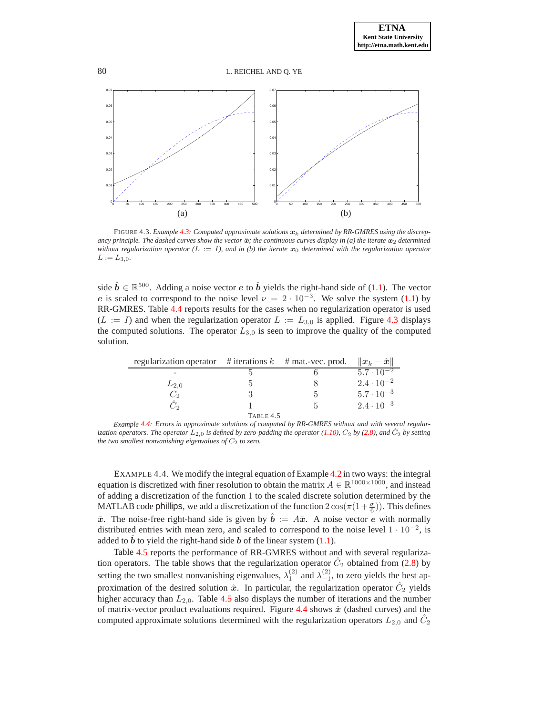80 L. REICHEL AND Q. YE



<span id="page-17-0"></span>FIGURE 4.3. *Example [4.3:](#page-16-0) Computed approximate solutions*  $x_k$  *determined by RR-GMRES using the discrepancy principle. The dashed curves show the vector*  $\hat{x}$ *; the continuous curves display in (a) the iterate*  $x_2$  *determined without regularization operator (L := I), and in (b) the iterate*  $x_0$  *determined with the regularization operator*  $L := L_{3,0}$ .

side  $\hat{b} \in \mathbb{R}^{500}$ . Adding a noise vector *e* to  $\hat{b}$  yields the right-hand side of [\(1.1\)](#page-0-0). The vector e is scaled to correspond to the noise level  $\nu = 2 \cdot 10^{-3}$ . We solve the system [\(1.1\)](#page-0-0) by RR-GMRES. Table [4.4](#page-16-1) reports results for the cases when no regularization operator is used  $(L := I)$  and when the regularization operator  $L := L_{3,0}$  is applied. Figure [4.3](#page-17-0) displays the computed solutions. The operator  $L_{3,0}$  is seen to improve the quality of the computed solution.

| regularization operator # iterations $k$ # mat.-vec. prod. |           | $\ \boldsymbol{x}_k-\hat{\boldsymbol{x}}\ $ |
|------------------------------------------------------------|-----------|---------------------------------------------|
|                                                            |           | $5.\overline{7 \cdot 10^{-2}}$              |
| $L_{2,0}$                                                  |           | $2.4 \cdot 10^{-2}$                         |
|                                                            |           | $5.7 \cdot 10^{-3}$                         |
|                                                            |           | $2.4 \cdot 10^{-3}$                         |
|                                                            | TABLE 4.5 |                                             |

<span id="page-17-2"></span>*Example [4.4:](#page-17-1) Errors in approximate solutions of computed by RR-GMRES without and with several regularization operators. The operator*  $L_{2,0}$  *is defined by zero-padding the operator* [\(1.10\)](#page-1-5)*,*  $C_2$  *by* [\(2.8\)](#page-6-2)*, and*  $C_2$  *by setting the two smallest nonvanishing eigenvalues of*  $C_2$  *to zero.* 

<span id="page-17-1"></span>EXAMPLE 4.4. We modify the integral equation of Example [4.2](#page-15-0) in two ways: the integral equation is discretized with finer resolution to obtain the matrix  $A \in \mathbb{R}^{1000 \times 1000}$ , and instead of adding a discretization of the function 1 to the scaled discrete solution determined by the MATLAB code phillips, we add a discretization of the function  $2\cos(\pi(1+\frac{\sigma}{6}))$ . This defines  $\hat{x}$ . The noise-free right-hand side is given by  $\hat{b} := A\hat{x}$ . A noise vector e with normally distributed entries with mean zero, and scaled to correspond to the noise level  $1 \cdot 10^{-2}$ , is added to  $\hat{b}$  to yield the right-hand side  $\hat{b}$  of the linear system [\(1.1\)](#page-0-0).

Table [4.5](#page-17-2) reports the performance of RR-GMRES without and with several regularization operators. The table shows that the regularization operator  $\hat{C}_2$  obtained from [\(2.8\)](#page-6-2) by setting the two smallest nonvanishing eigenvalues,  $\lambda_1^{(2)}$  and  $\lambda_{-1}^{(2)}$ , to zero yields the best approximation of the desired solution  $\hat{x}$ . In particular, the regularization operator  $\hat{C}_2$  yields higher accuracy than  $L_{2,0}$ . Table [4.5](#page-17-2) also displays the number of iterations and the number of matrix-vector product evaluations required. Figure [4.4](#page-18-1) shows  $\hat{x}$  (dashed curves) and the computed approximate solutions determined with the regularization operators  $L_{2,0}$  and  $\hat{C}_2$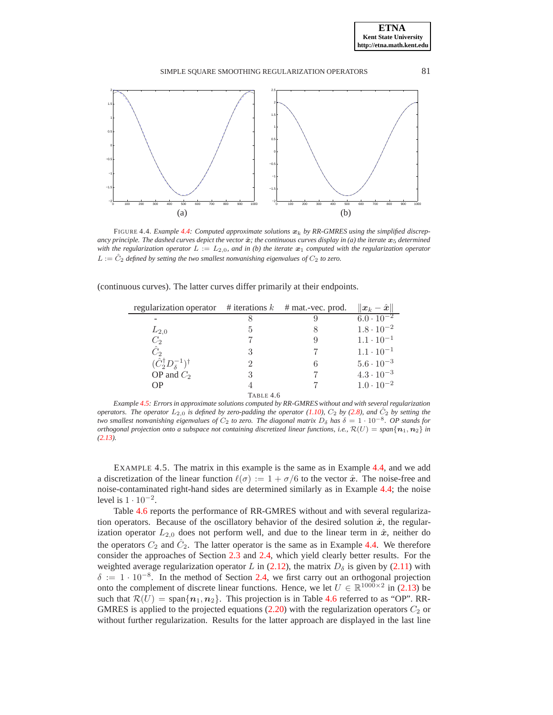

<span id="page-18-1"></span>FIGURE 4.4. *Example* [4.4:](#page-17-1) *Computed approximate solutions*  $x_k$ , *by RR-GMRES using the simplified discrepancy principle. The dashed curves depict the vector*  $\hat{x}$ *; the continuous curves display in (a) the iterate*  $x_5$  *determined with the regularization operator*  $L := L_{2,0}$ *, and in (b) the iterate*  $\mathbf{x}_1$  *computed with the regularization operator*  $L := \hat{C}_2$  *defined by setting the two smallest nonvanishing eigenvalues of*  $C_2$  *to zero.* 

(continuous curves). The latter curves differ primarily at their endpoints.

| regularization operator $\#$ iterations k          |           | $#$ mat.-vec. prod. | $\ \boldsymbol{x}_k - \hat{\boldsymbol{x}}\ $ |
|----------------------------------------------------|-----------|---------------------|-----------------------------------------------|
|                                                    |           |                     | $6.0 \cdot 10^{-2}$                           |
| $L_{2,0}$                                          |           |                     | $1.8 \cdot 10^{-2}$                           |
| $C_2$                                              |           |                     | $1.1 \cdot 10^{-1}$                           |
| $\hat{C}_2$                                        | 3         |                     | $1.1 \cdot 10^{-1}$                           |
| $(\hat{C}_2^{\dagger}D_{{\delta}}^{-1})^{\dagger}$ |           |                     | $5.6 \cdot 10^{-3}$                           |
| OP and $C_2$                                       | 3         |                     | $4.3 \cdot 10^{-3}$                           |
| <b>OP</b>                                          |           |                     | $1.0 \cdot 10^{-2}$                           |
|                                                    | TABLE 4.6 |                     |                                               |

<span id="page-18-2"></span>*Example [4.5:](#page-18-0) Errors in approximate solutions computed by RR-GMRES without and with several regularization operators. The operator*  $L_{2,0}$  *is defined by zero-padding the operator* [\(1.10\)](#page-1-5),  $C_2$  *by* [\(2.8\)](#page-6-2)*, and*  $\hat{C}_2$  *by setting the two smallest nonvanishing eigenvalues of*  $C_2$  *to zero. The diagonal matrix*  $D_\delta$  *has*  $\delta = 1 \cdot 10^{-8}$ *. OP stands for orthogonal projection onto a subspace not containing discretized linear functions, i.e.,*  $\mathcal{R}(U) = span{\lbrace n_1, n_2 \rbrace}$  *in [\(2.13\)](#page-10-1).*

<span id="page-18-0"></span>EXAMPLE 4.5. The matrix in this example is the same as in Example [4.4,](#page-17-1) and we add a discretization of the linear function  $\ell(\sigma) := 1 + \sigma/6$  to the vector  $\hat{x}$ . The noise-free and noise-contaminated right-hand sides are determined similarly as in Example [4.4;](#page-17-1) the noise level is  $1 \cdot 10^{-2}$ .

Table [4.6](#page-18-2) reports the performance of RR-GMRES without and with several regularization operators. Because of the oscillatory behavior of the desired solution  $\hat{x}$ , the regularization operator  $L_{2,0}$  does not perform well, and due to the linear term in  $\hat{x}$ , neither do the operators  $C_2$  and  $\hat{C}_2$ . The latter operator is the same as in Example [4.4.](#page-17-1) We therefore consider the approaches of Section [2.3](#page-8-2) and [2.4,](#page-10-0) which yield clearly better results. For the weighted average regularization operator L in [\(2.12\)](#page-9-0), the matrix  $D_{\delta}$  is given by [\(2.11\)](#page-8-1) with  $\delta := 1 \cdot 10^{-8}$ . In the method of Section [2.4,](#page-10-0) we first carry out an orthogonal projection onto the complement of discrete linear functions. Hence, we let  $U \in \mathbb{R}^{1000 \times 2}$  in [\(2.13\)](#page-10-1) be such that  $\mathcal{R}(U) = \text{span}\{n_1, n_2\}$ . This projection is in Table [4.6](#page-18-2) referred to as "OP". RR-GMRES is applied to the projected equations  $(2.20)$  with the regularization operators  $C_2$  or without further regularization. Results for the latter approach are displayed in the last line

**ETNA Kent State University http://etna.math.kent.edu**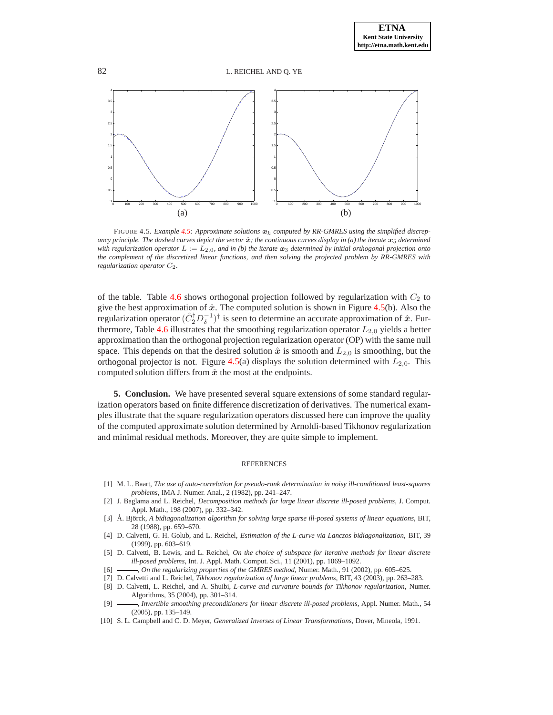

<span id="page-19-11"></span>FIGURE 4.5. *Example [4.5:](#page-18-0) Approximate solutions*  $x_k$  *computed by RR-GMRES using the simplified discrepancy principle. The dashed curves depict the vector*  $\hat{x}$ *; the continuous curves display in (a) the iterate*  $x_5$  *determined with regularization operator*  $L := L_{2,0}$ *, and in (b) the iterate*  $x_3$  *determined by initial orthogonal projection onto the complement of the discretized linear functions, and then solving the projected problem by RR-GMRES with regularization operator*  $C_2$ *.* 

of the table. Table [4.6](#page-18-2) shows orthogonal projection followed by regularization with  $C_2$  to give the best approximation of  $\hat{x}$ . The computed solution is shown in Figure [4.5\(](#page-19-11)b). Also the regularization operator  $(\hat{C}_2^{\dagger} D_{\delta}^{-1})^{\dagger}$  is seen to determine an accurate approximation of  $\hat{x}$ . Fur-thermore, Table [4.6](#page-18-2) illustrates that the smoothing regularization operator  $L_{2,0}$  yields a better approximation than the orthogonal projection regularization operator (OP) with the same null space. This depends on that the desired solution  $\hat{x}$  is smooth and  $L_{2,0}$  is smoothing, but the orthogonal projector is not. Figure [4.5\(](#page-19-11)a) displays the solution determined with  $L_{2,0}$ . This computed solution differs from  $\hat{x}$  the most at the endpoints.

<span id="page-19-6"></span>**5. Conclusion.** We have presented several square extensions of some standard regularization operators based on finite difference discretization of derivatives. The numerical examples illustrate that the square regularization operators discussed here can improve the quality of the computed approximate solution determined by Arnoldi-based Tikhonov regularization and minimal residual methods. Moreover, they are quite simple to implement.

#### REFERENCES

- <span id="page-19-10"></span>[1] M. L. Baart, *The use of auto-correlation for pseudo-rank determination in noisy ill-conditioned least-squares problems*, IMA J. Numer. Anal., 2 (1982), pp. 241–247.
- <span id="page-19-7"></span>[2] J. Baglama and L. Reichel, *Decomposition methods for large linear discrete ill-posed problems*, J. Comput. Appl. Math., 198 (2007), pp. 332–342.
- <span id="page-19-0"></span>[3] Å. Björck, A bidiagonalization algorithm for solving large sparse ill-posed systems of linear equations, BIT, 28 (1988), pp. 659–670.
- <span id="page-19-1"></span>[4] D. Calvetti, G. H. Golub, and L. Reichel, *Estimation of the L-curve via Lanczos bidiagonalization*, BIT, 39 (1999), pp. 603–619.
- <span id="page-19-5"></span>[5] D. Calvetti, B. Lewis, and L. Reichel, *On the choice of subspace for iterative methods for linear discrete ill-posed problems*, Int. J. Appl. Math. Comput. Sci., 11 (2001), pp. 1069–1092.
- <span id="page-19-9"></span><span id="page-19-2"></span>[6] , *On the regularizing properties of the GMRES method*, Numer. Math., 91 (2002), pp. 605–625.
- <span id="page-19-3"></span>[7] D. Calvetti and L. Reichel, *Tikhonov regularization of large linear problems*, BIT, 43 (2003), pp. 263–283.
- [8] D. Calvetti, L. Reichel, and A. Shuibi, *L-curve and curvature bounds for Tikhonov regularization*, Numer. Algorithms, 35 (2004), pp. 301–314.
- <span id="page-19-4"></span>[9] , *Invertible smoothing preconditioners for linear discrete ill-posed problems*, Appl. Numer. Math., 54 (2005), pp. 135–149.
- <span id="page-19-8"></span>[10] S. L. Campbell and C. D. Meyer, *Generalized Inverses of Linear Transformations*, Dover, Mineola, 1991.